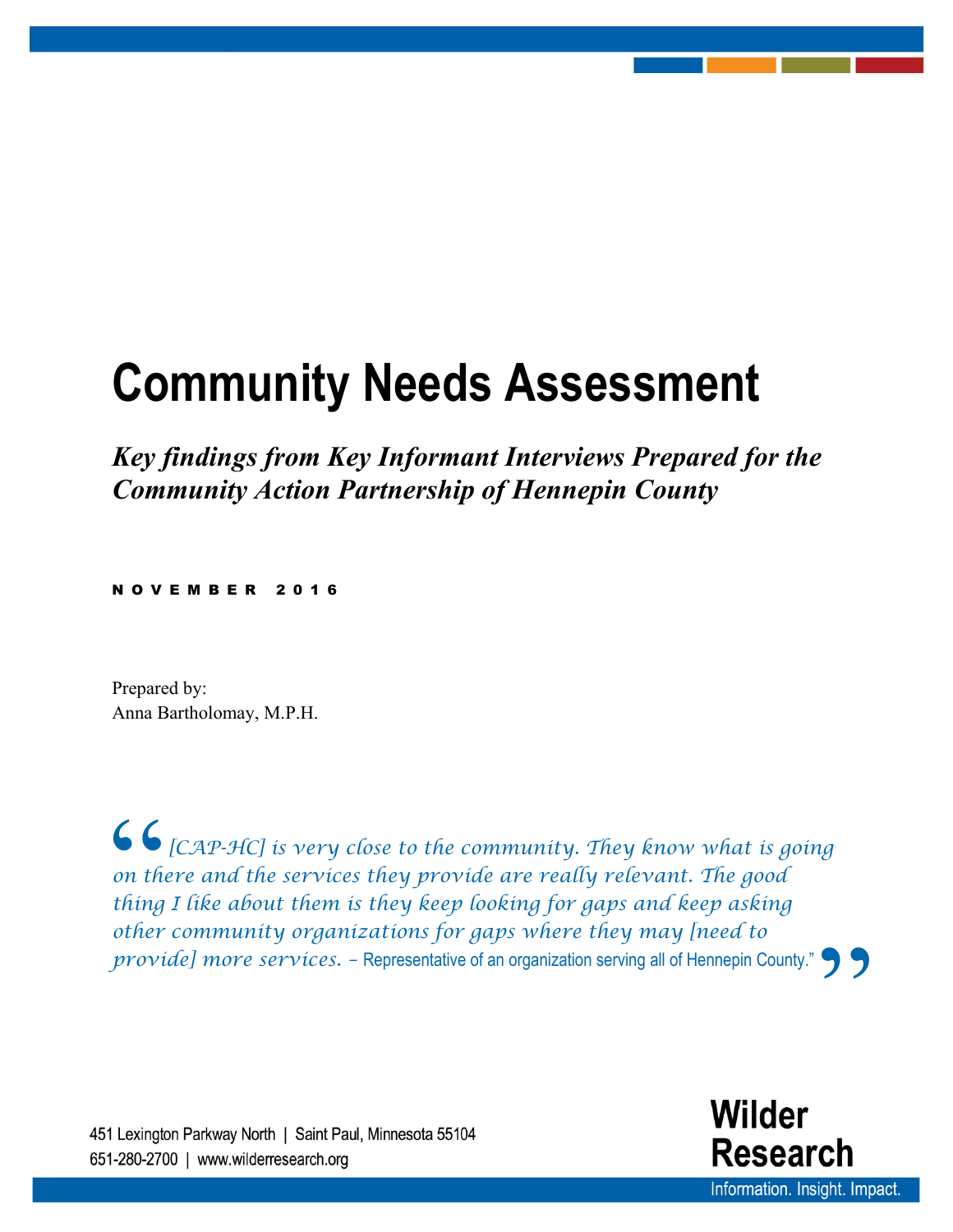# **Community Needs Assessment**

*Key findings from Key Informant Interviews Prepared for the Community Action Partnership of Hennepin County* 

NOVEMBER 201 6

Prepared by: Anna Bartholomay, M.P.H.

66<br>
on the<br>
thing<br>
other **"** *[CAP-HC] is very close to the community. They know what is going on there and the services they provide are really relevant. The good thing I like about them is they keep looking for gaps and keep asking other community organizations for gaps where they may [need to provide] more services. –* Representative of an organization serving all of Hennepin County."

451 Lexington Parkway North | Saint Paul, Minnesota 55104 *CAP-HC Summary of Findings from* **1** *Wilder Research, November 2016 Key Informant Interviews*

Wilder **Research** Information. Insight. Impact.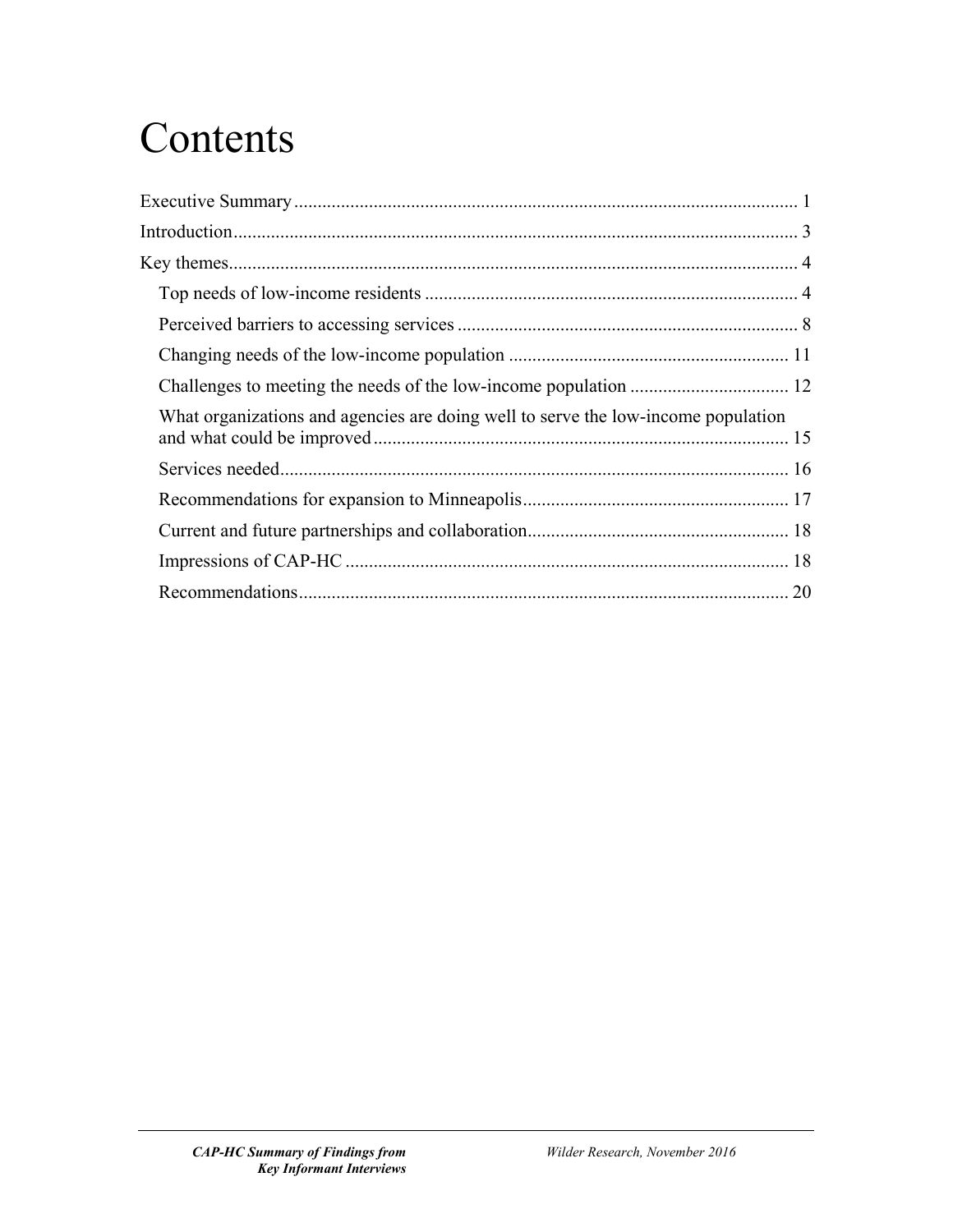# **Contents**

| What organizations and agencies are doing well to serve the low-income population |  |
|-----------------------------------------------------------------------------------|--|
|                                                                                   |  |
|                                                                                   |  |
|                                                                                   |  |
|                                                                                   |  |
|                                                                                   |  |
|                                                                                   |  |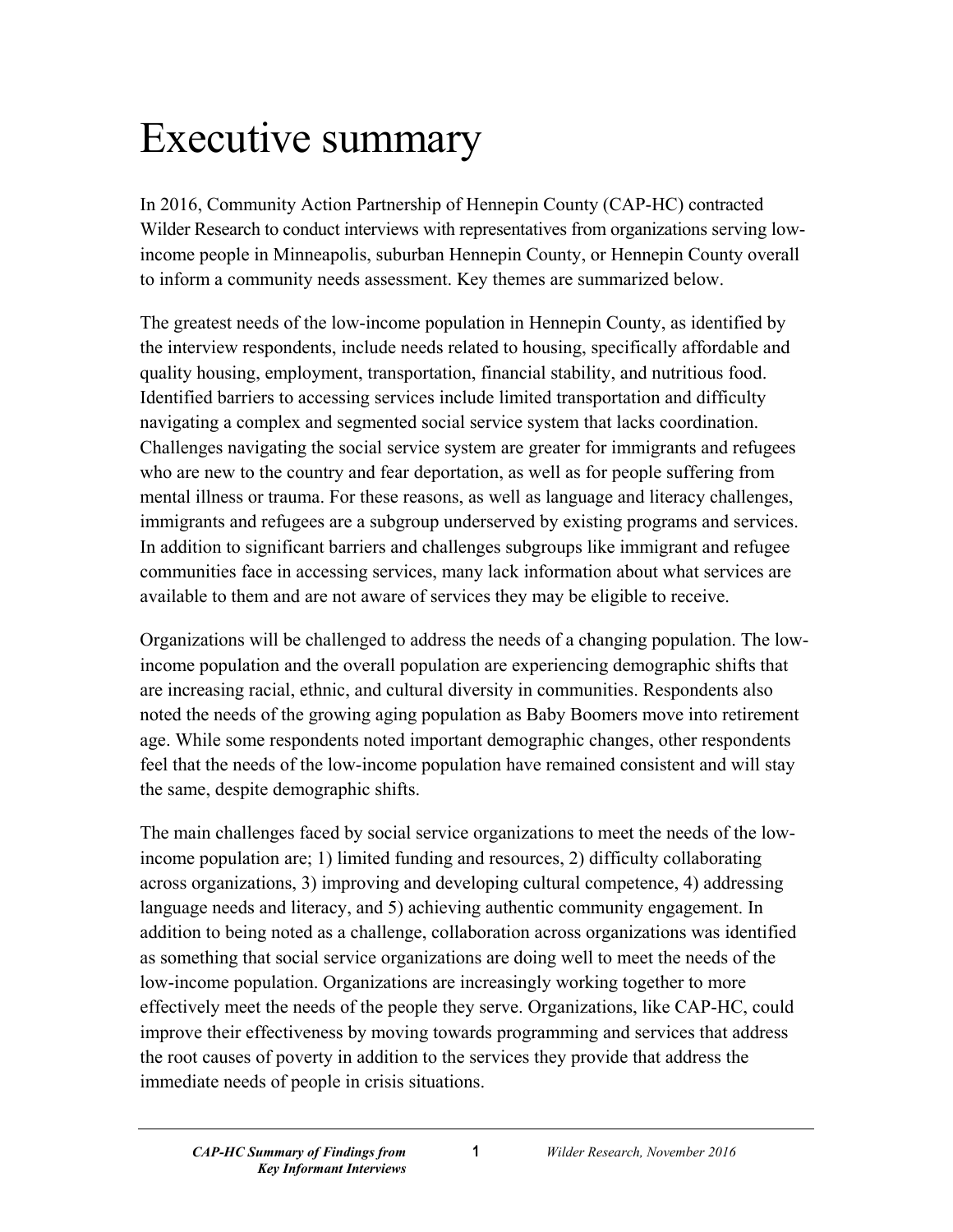# <span id="page-2-0"></span>Executive summary

In 2016, Community Action Partnership of Hennepin County (CAP-HC) contracted Wilder Research to conduct interviews with representatives from organizations serving lowincome people in Minneapolis, suburban Hennepin County, or Hennepin County overall to inform a community needs assessment. Key themes are summarized below.

The greatest needs of the low-income population in Hennepin County, as identified by the interview respondents, include needs related to housing, specifically affordable and quality housing, employment, transportation, financial stability, and nutritious food. Identified barriers to accessing services include limited transportation and difficulty navigating a complex and segmented social service system that lacks coordination. Challenges navigating the social service system are greater for immigrants and refugees who are new to the country and fear deportation, as well as for people suffering from mental illness or trauma. For these reasons, as well as language and literacy challenges, immigrants and refugees are a subgroup underserved by existing programs and services. In addition to significant barriers and challenges subgroups like immigrant and refugee communities face in accessing services, many lack information about what services are available to them and are not aware of services they may be eligible to receive.

Organizations will be challenged to address the needs of a changing population. The lowincome population and the overall population are experiencing demographic shifts that are increasing racial, ethnic, and cultural diversity in communities. Respondents also noted the needs of the growing aging population as Baby Boomers move into retirement age. While some respondents noted important demographic changes, other respondents feel that the needs of the low-income population have remained consistent and will stay the same, despite demographic shifts.

The main challenges faced by social service organizations to meet the needs of the lowincome population are; 1) limited funding and resources, 2) difficulty collaborating across organizations, 3) improving and developing cultural competence, 4) addressing language needs and literacy, and 5) achieving authentic community engagement. In addition to being noted as a challenge, collaboration across organizations was identified as something that social service organizations are doing well to meet the needs of the low-income population. Organizations are increasingly working together to more effectively meet the needs of the people they serve. Organizations, like CAP-HC, could improve their effectiveness by moving towards programming and services that address the root causes of poverty in addition to the services they provide that address the immediate needs of people in crisis situations.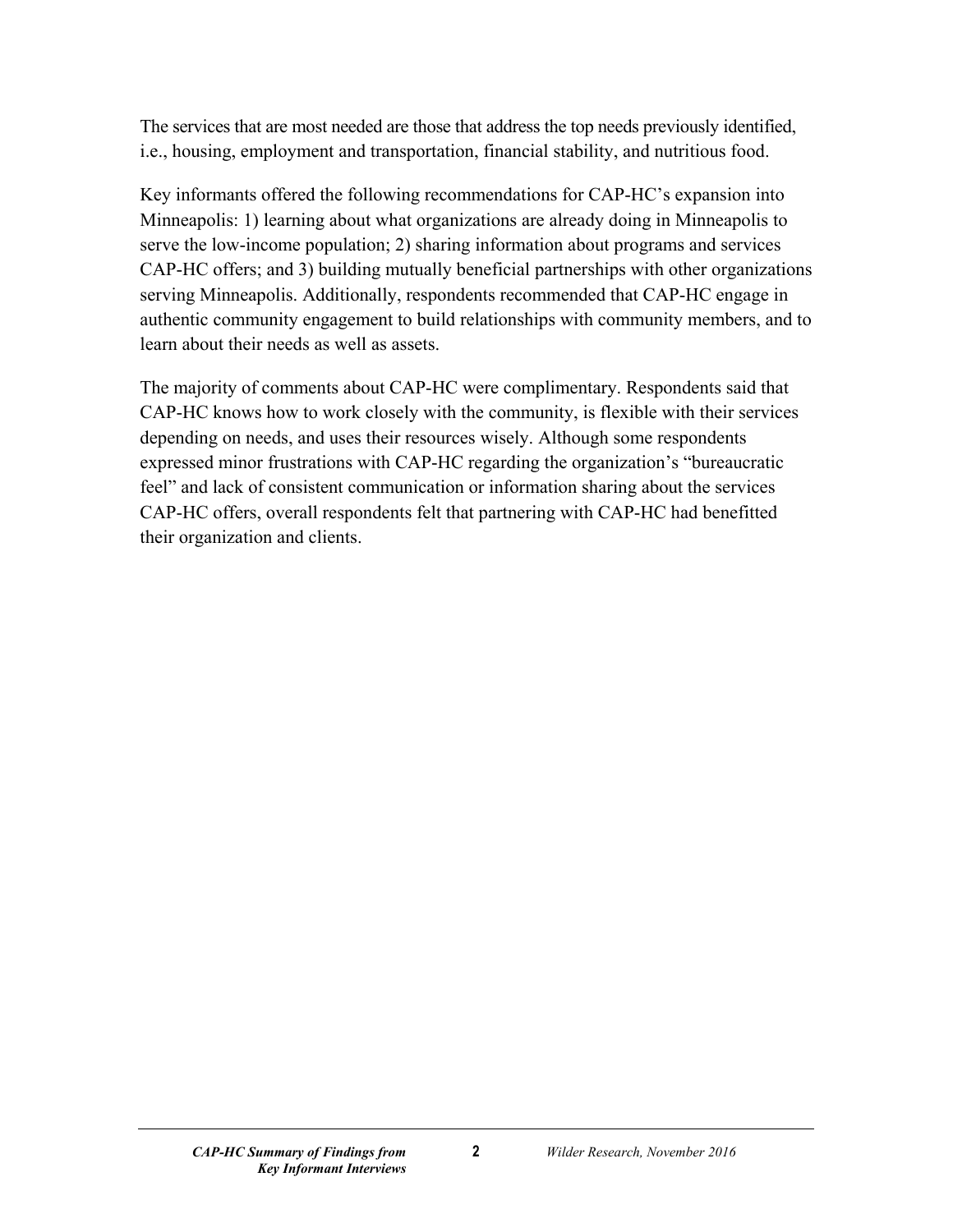The services that are most needed are those that address the top needs previously identified, i.e., housing, employment and transportation, financial stability, and nutritious food.

Key informants offered the following recommendations for CAP-HC's expansion into Minneapolis: 1) learning about what organizations are already doing in Minneapolis to serve the low-income population; 2) sharing information about programs and services CAP-HC offers; and 3) building mutually beneficial partnerships with other organizations serving Minneapolis. Additionally, respondents recommended that CAP-HC engage in authentic community engagement to build relationships with community members, and to learn about their needs as well as assets.

The majority of comments about CAP-HC were complimentary. Respondents said that CAP-HC knows how to work closely with the community, is flexible with their services depending on needs, and uses their resources wisely. Although some respondents expressed minor frustrations with CAP-HC regarding the organization's "bureaucratic feel" and lack of consistent communication or information sharing about the services CAP-HC offers, overall respondents felt that partnering with CAP-HC had benefitted their organization and clients.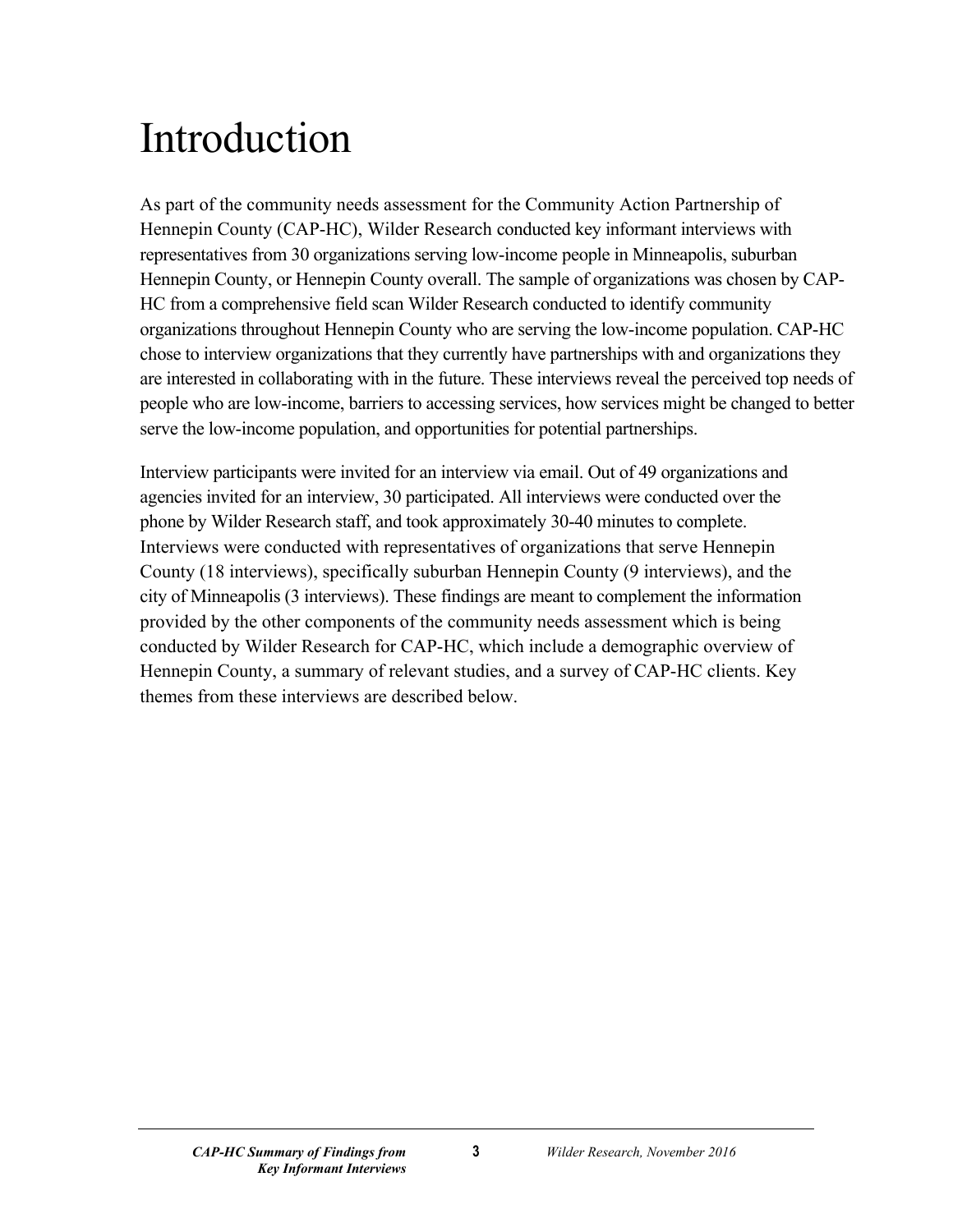# <span id="page-4-0"></span>Introduction

As part of the community needs assessment for the Community Action Partnership of Hennepin County (CAP-HC), Wilder Research conducted key informant interviews with representatives from 30 organizations serving low-income people in Minneapolis, suburban Hennepin County, or Hennepin County overall. The sample of organizations was chosen by CAP-HC from a comprehensive field scan Wilder Research conducted to identify community organizations throughout Hennepin County who are serving the low-income population. CAP-HC chose to interview organizations that they currently have partnerships with and organizations they are interested in collaborating with in the future. These interviews reveal the perceived top needs of people who are low-income, barriers to accessing services, how services might be changed to better serve the low-income population, and opportunities for potential partnerships.

Interview participants were invited for an interview via email. Out of 49 organizations and agencies invited for an interview, 30 participated. All interviews were conducted over the phone by Wilder Research staff, and took approximately 30-40 minutes to complete. Interviews were conducted with representatives of organizations that serve Hennepin County (18 interviews), specifically suburban Hennepin County (9 interviews), and the city of Minneapolis (3 interviews). These findings are meant to complement the information provided by the other components of the community needs assessment which is being conducted by Wilder Research for CAP-HC, which include a demographic overview of Hennepin County, a summary of relevant studies, and a survey of CAP-HC clients. Key themes from these interviews are described below.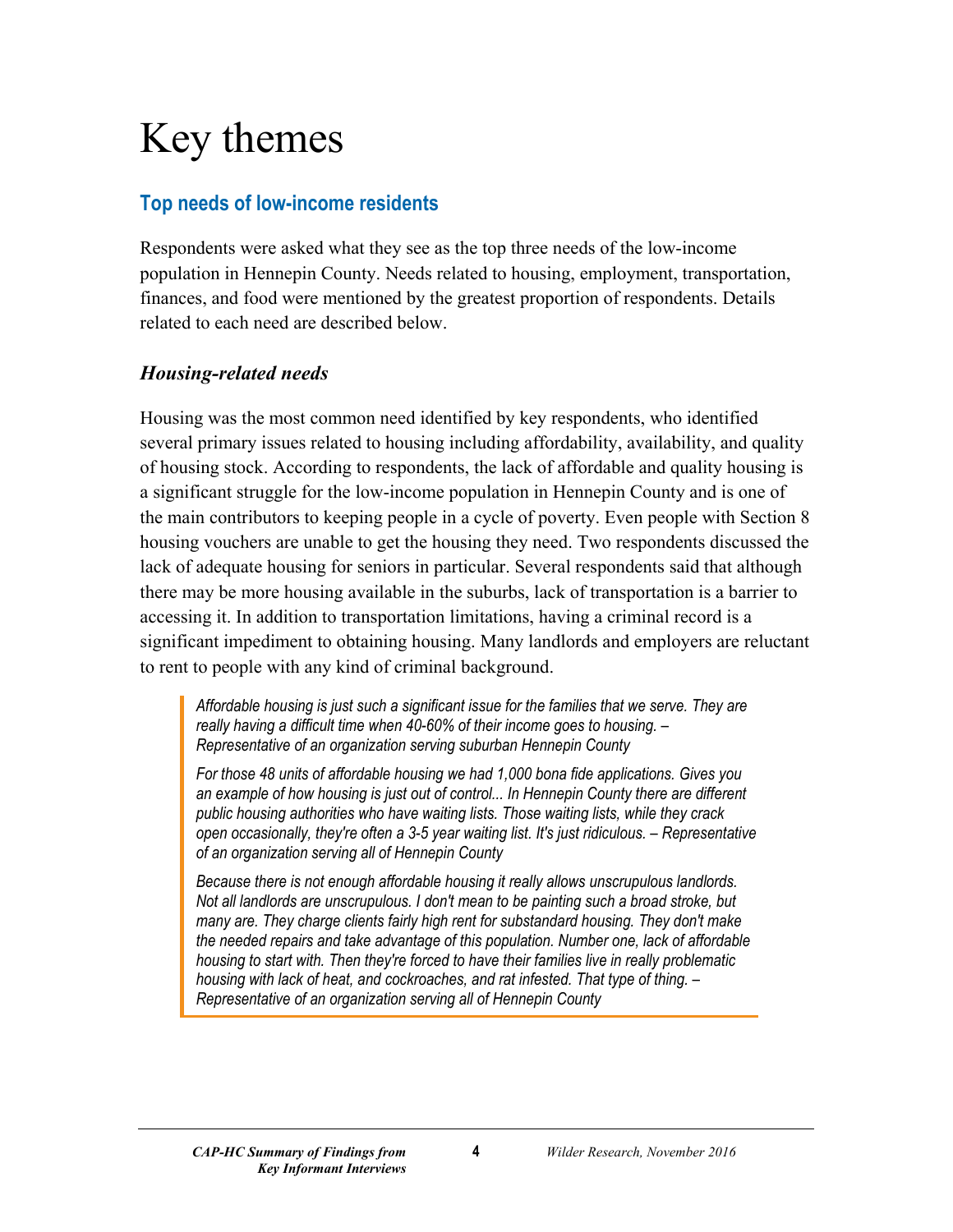# <span id="page-5-0"></span>Key themes

# <span id="page-5-1"></span>**Top needs of low-income residents**

Respondents were asked what they see as the top three needs of the low-income population in Hennepin County. Needs related to housing, employment, transportation, finances, and food were mentioned by the greatest proportion of respondents. Details related to each need are described below.

#### *Housing-related needs*

Housing was the most common need identified by key respondents, who identified several primary issues related to housing including affordability, availability, and quality of housing stock. According to respondents, the lack of affordable and quality housing is a significant struggle for the low-income population in Hennepin County and is one of the main contributors to keeping people in a cycle of poverty. Even people with Section 8 housing vouchers are unable to get the housing they need. Two respondents discussed the lack of adequate housing for seniors in particular. Several respondents said that although there may be more housing available in the suburbs, lack of transportation is a barrier to accessing it. In addition to transportation limitations, having a criminal record is a significant impediment to obtaining housing. Many landlords and employers are reluctant to rent to people with any kind of criminal background.

*Affordable housing is just such a significant issue for the families that we serve. They are really having a difficult time when 40-60% of their income goes to housing. – Representative of an organization serving suburban Hennepin County*

*For those 48 units of affordable housing we had 1,000 bona fide applications. Gives you an example of how housing is just out of control... In Hennepin County there are different public housing authorities who have waiting lists. Those waiting lists, while they crack open occasionally, they're often a 3-5 year waiting list. It's just ridiculous. – Representative of an organization serving all of Hennepin County*

*Because there is not enough affordable housing it really allows unscrupulous landlords. Not all landlords are unscrupulous. I don't mean to be painting such a broad stroke, but many are. They charge clients fairly high rent for substandard housing. They don't make the needed repairs and take advantage of this population. Number one, lack of affordable housing to start with. Then they're forced to have their families live in really problematic housing with lack of heat, and cockroaches, and rat infested. That type of thing. – Representative of an organization serving all of Hennepin County*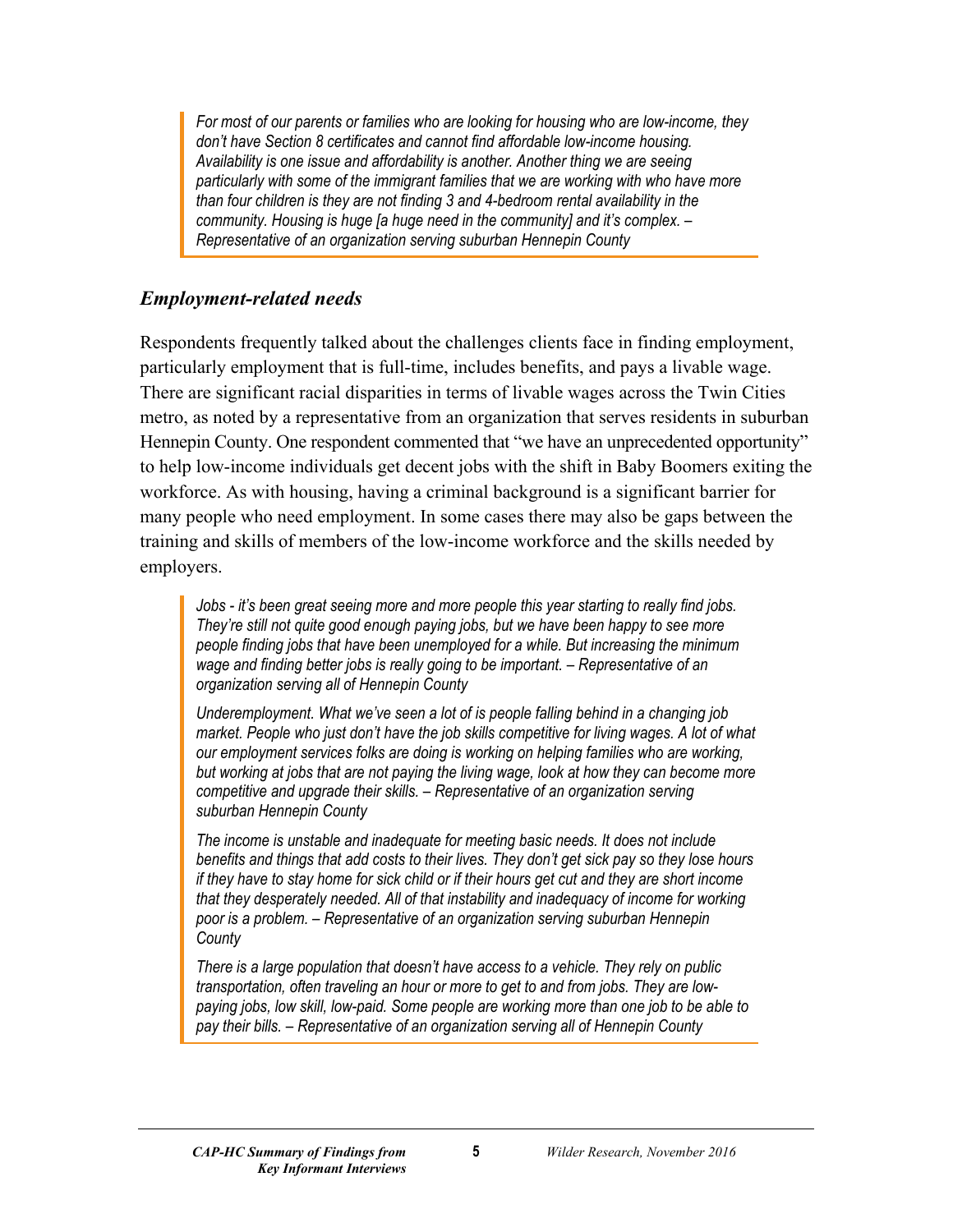*For most of our parents or families who are looking for housing who are low-income, they don't have Section 8 certificates and cannot find affordable low-income housing. Availability is one issue and affordability is another. Another thing we are seeing particularly with some of the immigrant families that we are working with who have more than four children is they are not finding 3 and 4-bedroom rental availability in the community. Housing is huge [a huge need in the community] and it's complex. – Representative of an organization serving suburban Hennepin County*

#### *Employment-related needs*

Respondents frequently talked about the challenges clients face in finding employment, particularly employment that is full-time, includes benefits, and pays a livable wage. There are significant racial disparities in terms of livable wages across the Twin Cities metro, as noted by a representative from an organization that serves residents in suburban Hennepin County. One respondent commented that "we have an unprecedented opportunity" to help low-income individuals get decent jobs with the shift in Baby Boomers exiting the workforce. As with housing, having a criminal background is a significant barrier for many people who need employment. In some cases there may also be gaps between the training and skills of members of the low-income workforce and the skills needed by employers.

*Jobs - it's been great seeing more and more people this year starting to really find jobs. They're still not quite good enough paying jobs, but we have been happy to see more people finding jobs that have been unemployed for a while. But increasing the minimum wage and finding better jobs is really going to be important. – Representative of an organization serving all of Hennepin County*

*Underemployment. What we've seen a lot of is people falling behind in a changing job market. People who just don't have the job skills competitive for living wages. A lot of what our employment services folks are doing is working on helping families who are working, but working at jobs that are not paying the living wage, look at how they can become more competitive and upgrade their skills. – Representative of an organization serving suburban Hennepin County*

*The income is unstable and inadequate for meeting basic needs. It does not include benefits and things that add costs to their lives. They don't get sick pay so they lose hours if they have to stay home for sick child or if their hours get cut and they are short income that they desperately needed. All of that instability and inadequacy of income for working poor is a problem. – Representative of an organization serving suburban Hennepin County*

*There is a large population that doesn't have access to a vehicle. They rely on public transportation, often traveling an hour or more to get to and from jobs. They are lowpaying jobs, low skill, low-paid. Some people are working more than one job to be able to pay their bills. – Representative of an organization serving all of Hennepin County*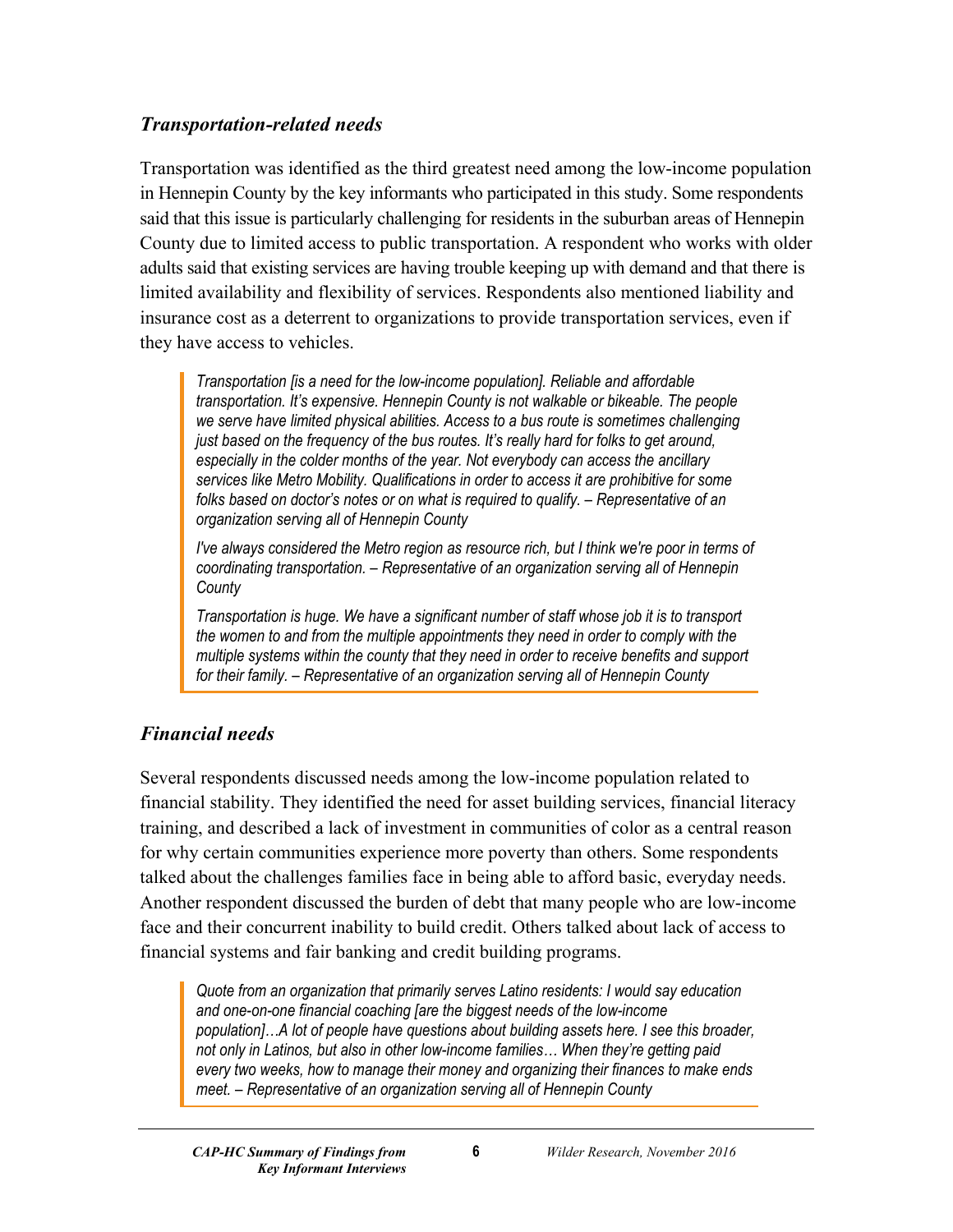#### *Transportation-related needs*

Transportation was identified as the third greatest need among the low-income population in Hennepin County by the key informants who participated in this study. Some respondents said that this issue is particularly challenging for residents in the suburban areas of Hennepin County due to limited access to public transportation. A respondent who works with older adults said that existing services are having trouble keeping up with demand and that there is limited availability and flexibility of services. Respondents also mentioned liability and insurance cost as a deterrent to organizations to provide transportation services, even if they have access to vehicles.

*Transportation [is a need for the low-income population]. Reliable and affordable transportation. It's expensive. Hennepin County is not walkable or bikeable. The people we serve have limited physical abilities. Access to a bus route is sometimes challenging just based on the frequency of the bus routes. It's really hard for folks to get around, especially in the colder months of the year. Not everybody can access the ancillary services like Metro Mobility. Qualifications in order to access it are prohibitive for some folks based on doctor's notes or on what is required to qualify. – Representative of an organization serving all of Hennepin County*

*I've always considered the Metro region as resource rich, but I think we're poor in terms of coordinating transportation. – Representative of an organization serving all of Hennepin County*

*Transportation is huge. We have a significant number of staff whose job it is to transport the women to and from the multiple appointments they need in order to comply with the multiple systems within the county that they need in order to receive benefits and support for their family. – Representative of an organization serving all of Hennepin County*

# *Financial needs*

Several respondents discussed needs among the low-income population related to financial stability. They identified the need for asset building services, financial literacy training, and described a lack of investment in communities of color as a central reason for why certain communities experience more poverty than others. Some respondents talked about the challenges families face in being able to afford basic, everyday needs. Another respondent discussed the burden of debt that many people who are low-income face and their concurrent inability to build credit. Others talked about lack of access to financial systems and fair banking and credit building programs.

*Quote from an organization that primarily serves Latino residents: I would say education and one-on-one financial coaching [are the biggest needs of the low-income population]…A lot of people have questions about building assets here. I see this broader, not only in Latinos, but also in other low-income families… When they're getting paid every two weeks, how to manage their money and organizing their finances to make ends meet. – Representative of an organization serving all of Hennepin County*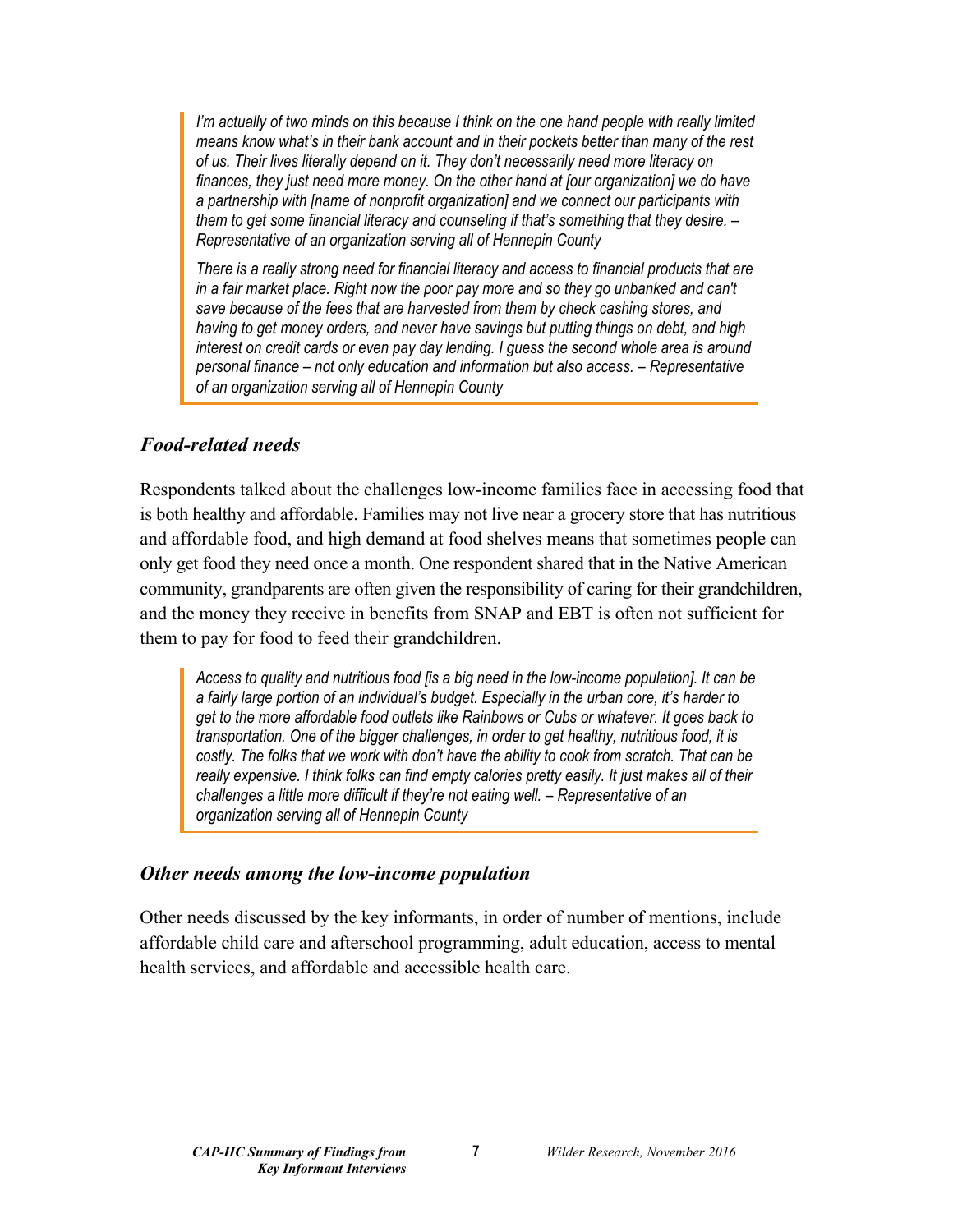*I'm actually of two minds on this because I think on the one hand people with really limited means know what's in their bank account and in their pockets better than many of the rest of us. Their lives literally depend on it. They don't necessarily need more literacy on finances, they just need more money. On the other hand at [our organization] we do have a partnership with [name of nonprofit organization] and we connect our participants with them to get some financial literacy and counseling if that's something that they desire. – Representative of an organization serving all of Hennepin County*

*There is a really strong need for financial literacy and access to financial products that are*  in a fair market place. Right now the poor pay more and so they go unbanked and can't *save because of the fees that are harvested from them by check cashing stores, and having to get money orders, and never have savings but putting things on debt, and high interest on credit cards or even pay day lending. I guess the second whole area is around personal finance – not only education and information but also access. – Representative of an organization serving all of Hennepin County*

#### *Food-related needs*

Respondents talked about the challenges low-income families face in accessing food that is both healthy and affordable. Families may not live near a grocery store that has nutritious and affordable food, and high demand at food shelves means that sometimes people can only get food they need once a month. One respondent shared that in the Native American community, grandparents are often given the responsibility of caring for their grandchildren, and the money they receive in benefits from SNAP and EBT is often not sufficient for them to pay for food to feed their grandchildren.

*Access to quality and nutritious food [is a big need in the low-income population]. It can be a fairly large portion of an individual's budget. Especially in the urban core, it's harder to get to the more affordable food outlets like Rainbows or Cubs or whatever. It goes back to transportation. One of the bigger challenges, in order to get healthy, nutritious food, it is costly. The folks that we work with don't have the ability to cook from scratch. That can be really expensive. I think folks can find empty calories pretty easily. It just makes all of their challenges a little more difficult if they're not eating well. – Representative of an organization serving all of Hennepin County*

#### *Other needs among the low-income population*

Other needs discussed by the key informants, in order of number of mentions, include affordable child care and afterschool programming, adult education, access to mental health services, and affordable and accessible health care.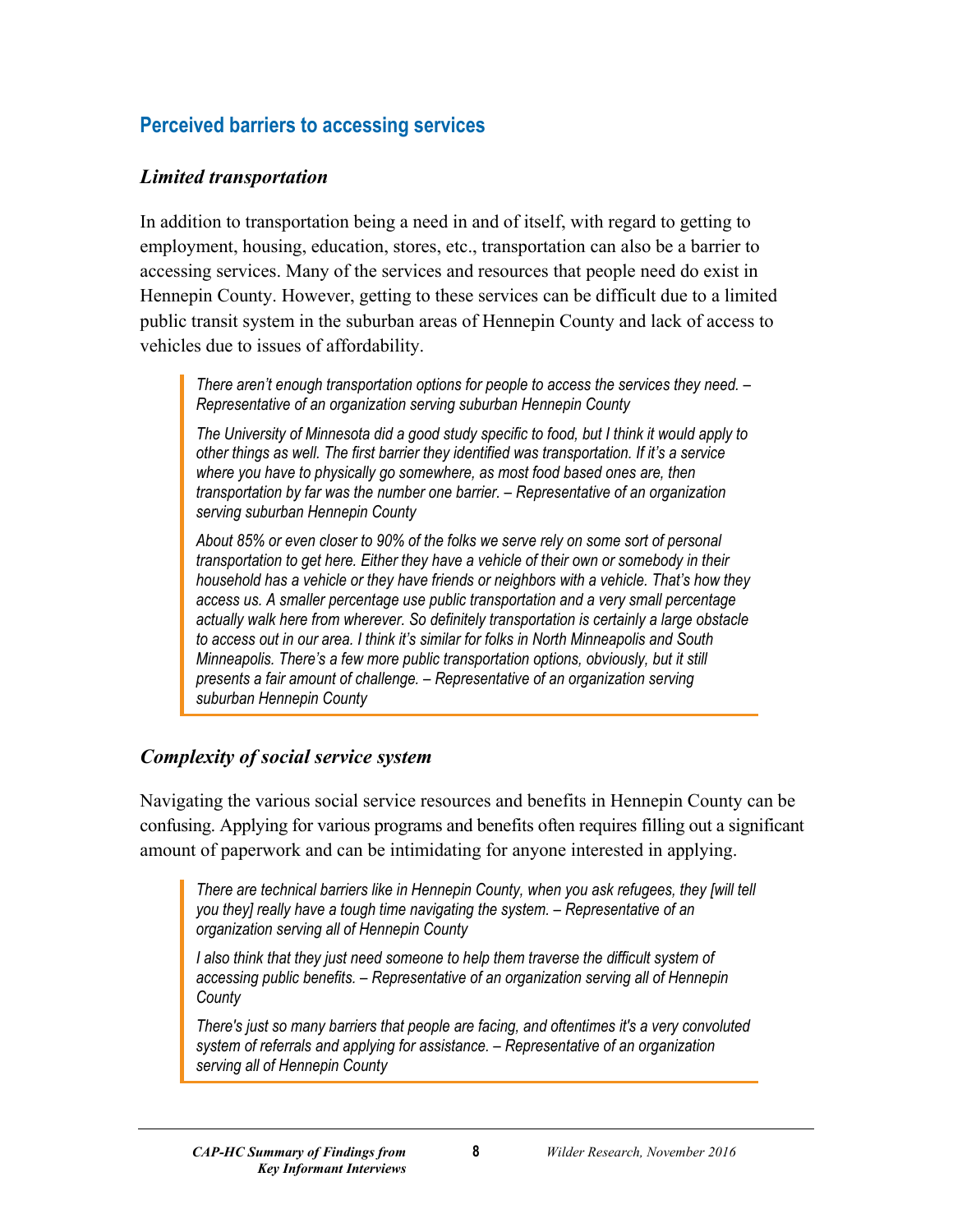# <span id="page-9-0"></span>**Perceived barriers to accessing services**

#### *Limited transportation*

In addition to transportation being a need in and of itself, with regard to getting to employment, housing, education, stores, etc., transportation can also be a barrier to accessing services. Many of the services and resources that people need do exist in Hennepin County. However, getting to these services can be difficult due to a limited public transit system in the suburban areas of Hennepin County and lack of access to vehicles due to issues of affordability.

*There aren't enough transportation options for people to access the services they need. – Representative of an organization serving suburban Hennepin County*

*The University of Minnesota did a good study specific to food, but I think it would apply to other things as well. The first barrier they identified was transportation. If it's a service where you have to physically go somewhere, as most food based ones are, then transportation by far was the number one barrier. – Representative of an organization serving suburban Hennepin County*

*About 85% or even closer to 90% of the folks we serve rely on some sort of personal transportation to get here. Either they have a vehicle of their own or somebody in their household has a vehicle or they have friends or neighbors with a vehicle. That's how they access us. A smaller percentage use public transportation and a very small percentage actually walk here from wherever. So definitely transportation is certainly a large obstacle to access out in our area. I think it's similar for folks in North Minneapolis and South Minneapolis. There's a few more public transportation options, obviously, but it still presents a fair amount of challenge. – Representative of an organization serving suburban Hennepin County*

#### *Complexity of social service system*

Navigating the various social service resources and benefits in Hennepin County can be confusing. Applying for various programs and benefits often requires filling out a significant amount of paperwork and can be intimidating for anyone interested in applying.

*There are technical barriers like in Hennepin County, when you ask refugees, they [will tell you they] really have a tough time navigating the system. – Representative of an organization serving all of Hennepin County*

*I also think that they just need someone to help them traverse the difficult system of accessing public benefits. – Representative of an organization serving all of Hennepin County*

*There's just so many barriers that people are facing, and oftentimes it's a very convoluted system of referrals and applying for assistance. – Representative of an organization serving all of Hennepin County*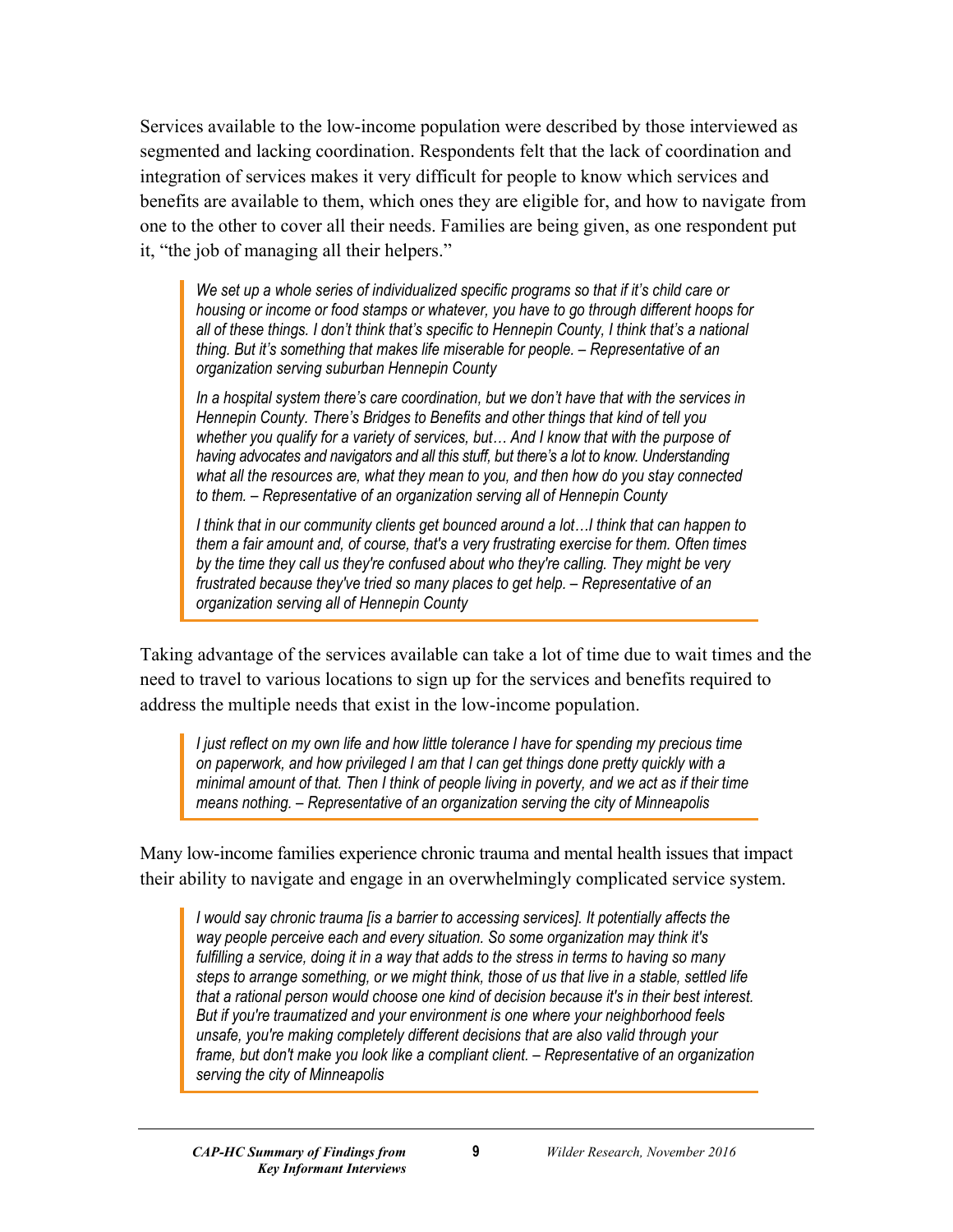Services available to the low-income population were described by those interviewed as segmented and lacking coordination. Respondents felt that the lack of coordination and integration of services makes it very difficult for people to know which services and benefits are available to them, which ones they are eligible for, and how to navigate from one to the other to cover all their needs. Families are being given, as one respondent put it, "the job of managing all their helpers."

We set up a whole series of individualized specific programs so that if it's child care or *housing or income or food stamps or whatever, you have to go through different hoops for all of these things. I don't think that's specific to Hennepin County, I think that's a national thing. But it's something that makes life miserable for people. – Representative of an organization serving suburban Hennepin County*

*In a hospital system there's care coordination, but we don't have that with the services in Hennepin County. There's Bridges to Benefits and other things that kind of tell you whether you qualify for a variety of services, but… And I know that with the purpose of having advocates and navigators and all this stuff, but there's a lot to know. Understanding what all the resources are, what they mean to you, and then how do you stay connected to them. – Representative of an organization serving all of Hennepin County*

*I think that in our community clients get bounced around a lot…I think that can happen to them a fair amount and, of course, that's a very frustrating exercise for them. Often times by the time they call us they're confused about who they're calling. They might be very frustrated because they've tried so many places to get help. – Representative of an organization serving all of Hennepin County*

Taking advantage of the services available can take a lot of time due to wait times and the need to travel to various locations to sign up for the services and benefits required to address the multiple needs that exist in the low-income population.

*I just reflect on my own life and how little tolerance I have for spending my precious time on paperwork, and how privileged I am that I can get things done pretty quickly with a minimal amount of that. Then I think of people living in poverty, and we act as if their time means nothing. – Representative of an organization serving the city of Minneapolis*

Many low-income families experience chronic trauma and mental health issues that impact their ability to navigate and engage in an overwhelmingly complicated service system.

*I would say chronic trauma [is a barrier to accessing services]. It potentially affects the way people perceive each and every situation. So some organization may think it's fulfilling a service, doing it in a way that adds to the stress in terms to having so many steps to arrange something, or we might think, those of us that live in a stable, settled life that a rational person would choose one kind of decision because it's in their best interest. But if you're traumatized and your environment is one where your neighborhood feels unsafe, you're making completely different decisions that are also valid through your frame, but don't make you look like a compliant client. – Representative of an organization serving the city of Minneapolis*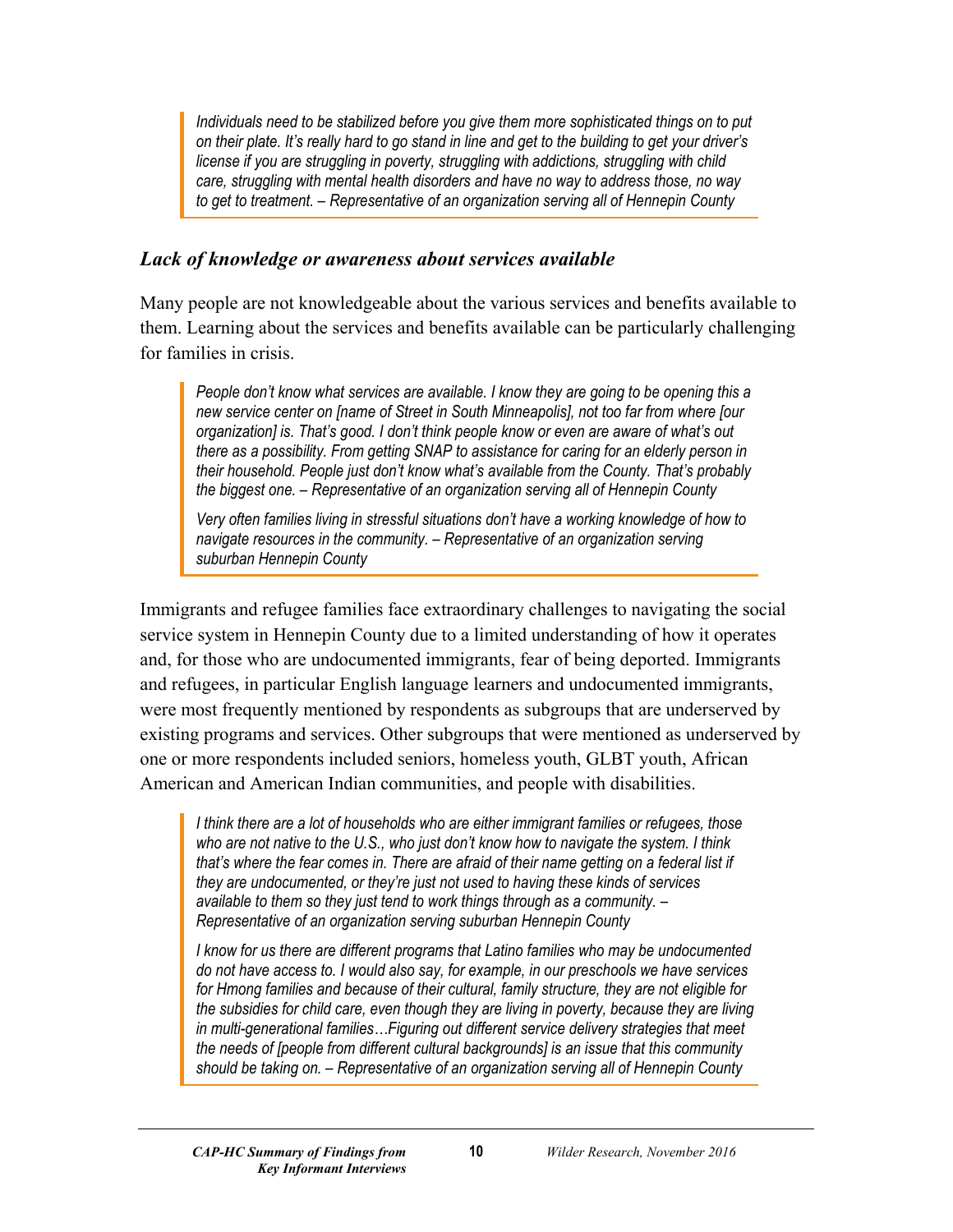*Individuals need to be stabilized before you give them more sophisticated things on to put on their plate. It's really hard to go stand in line and get to the building to get your driver's license if you are struggling in poverty, struggling with addictions, struggling with child care, struggling with mental health disorders and have no way to address those, no way to get to treatment. – Representative of an organization serving all of Hennepin County*

#### *Lack of knowledge or awareness about services available*

Many people are not knowledgeable about the various services and benefits available to them. Learning about the services and benefits available can be particularly challenging for families in crisis.

*People don't know what services are available. I know they are going to be opening this a new service center on [name of Street in South Minneapolis], not too far from where [our organization] is. That's good. I don't think people know or even are aware of what's out there as a possibility. From getting SNAP to assistance for caring for an elderly person in their household. People just don't know what's available from the County. That's probably the biggest one. – Representative of an organization serving all of Hennepin County*

*Very often families living in stressful situations don't have a working knowledge of how to navigate resources in the community. – Representative of an organization serving suburban Hennepin County*

Immigrants and refugee families face extraordinary challenges to navigating the social service system in Hennepin County due to a limited understanding of how it operates and, for those who are undocumented immigrants, fear of being deported. Immigrants and refugees, in particular English language learners and undocumented immigrants, were most frequently mentioned by respondents as subgroups that are underserved by existing programs and services. Other subgroups that were mentioned as underserved by one or more respondents included seniors, homeless youth, GLBT youth, African American and American Indian communities, and people with disabilities.

*I think there are a lot of households who are either immigrant families or refugees, those who are not native to the U.S., who just don't know how to navigate the system. I think that's where the fear comes in. There are afraid of their name getting on a federal list if they are undocumented, or they're just not used to having these kinds of services available to them so they just tend to work things through as a community. – Representative of an organization serving suburban Hennepin County*

*I know for us there are different programs that Latino families who may be undocumented do not have access to. I would also say, for example, in our preschools we have services for Hmong families and because of their cultural, family structure, they are not eligible for the subsidies for child care, even though they are living in poverty, because they are living in multi-generational families…Figuring out different service delivery strategies that meet the needs of [people from different cultural backgrounds] is an issue that this community should be taking on. – Representative of an organization serving all of Hennepin County*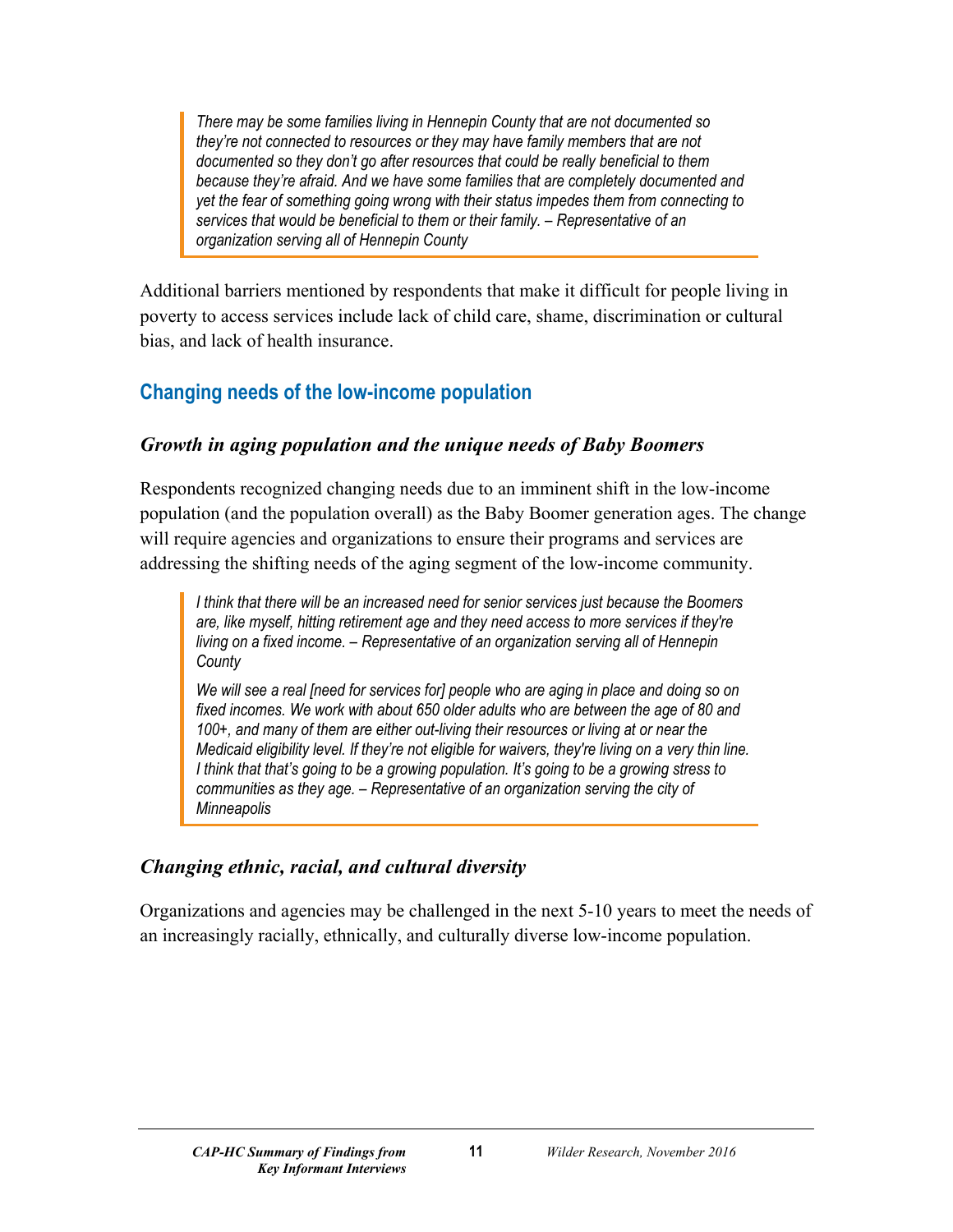*There may be some families living in Hennepin County that are not documented so they're not connected to resources or they may have family members that are not documented so they don't go after resources that could be really beneficial to them because they're afraid. And we have some families that are completely documented and yet the fear of something going wrong with their status impedes them from connecting to services that would be beneficial to them or their family. – Representative of an organization serving all of Hennepin County*

Additional barriers mentioned by respondents that make it difficult for people living in poverty to access services include lack of child care, shame, discrimination or cultural bias, and lack of health insurance.

# <span id="page-12-0"></span>**Changing needs of the low-income population**

#### *Growth in aging population and the unique needs of Baby Boomers*

Respondents recognized changing needs due to an imminent shift in the low-income population (and the population overall) as the Baby Boomer generation ages. The change will require agencies and organizations to ensure their programs and services are addressing the shifting needs of the aging segment of the low-income community.

*I think that there will be an increased need for senior services just because the Boomers are, like myself, hitting retirement age and they need access to more services if they're living on a fixed income. – Representative of an organization serving all of Hennepin County*

*We will see a real [need for services for] people who are aging in place and doing so on fixed incomes. We work with about 650 older adults who are between the age of 80 and 100+, and many of them are either out-living their resources or living at or near the Medicaid eligibility level. If they're not eligible for waivers, they're living on a very thin line. I think that that's going to be a growing population. It's going to be a growing stress to communities as they age. – Representative of an organization serving the city of Minneapolis*

### *Changing ethnic, racial, and cultural diversity*

Organizations and agencies may be challenged in the next 5-10 years to meet the needs of an increasingly racially, ethnically, and culturally diverse low-income population.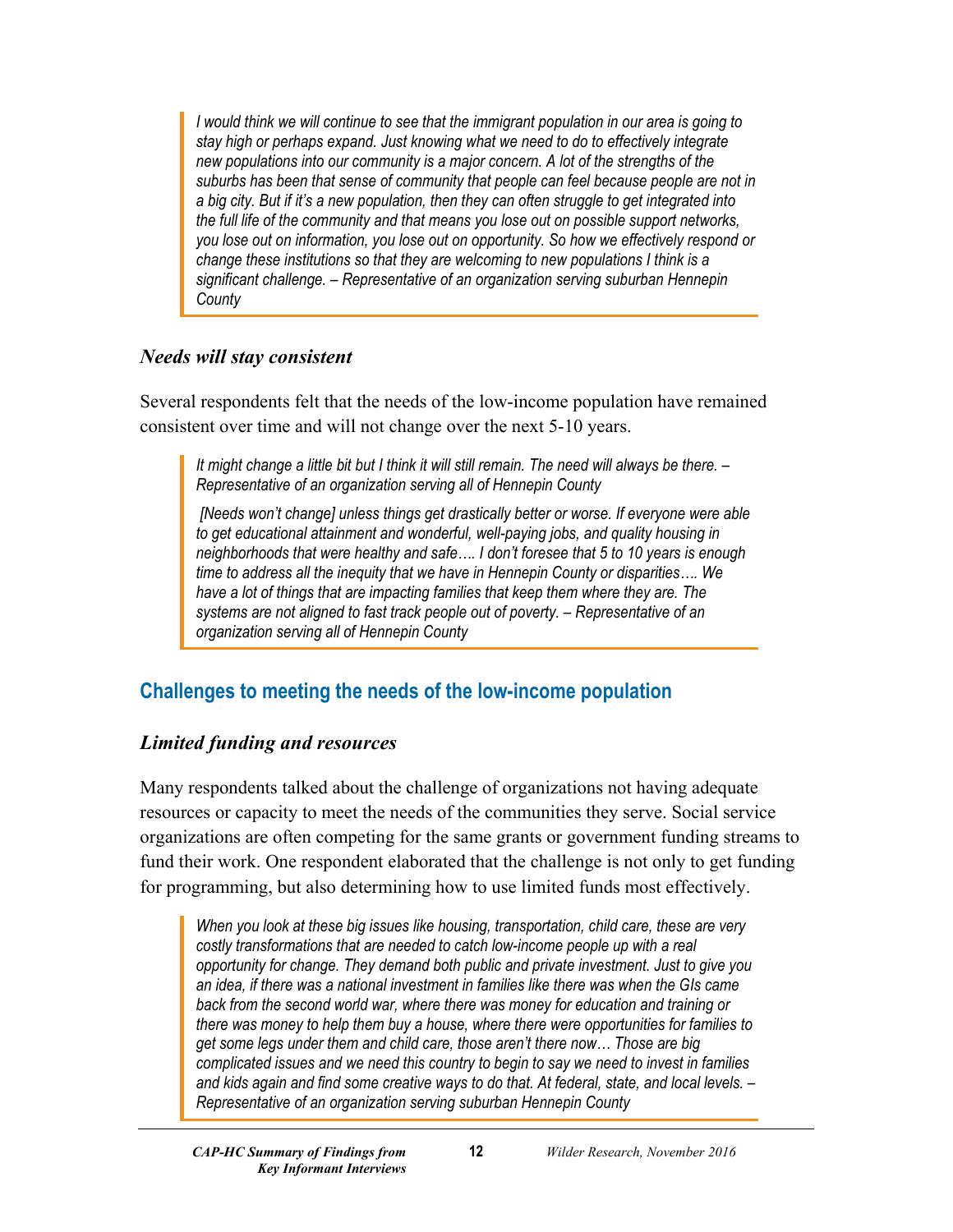*I would think we will continue to see that the immigrant population in our area is going to stay high or perhaps expand. Just knowing what we need to do to effectively integrate new populations into our community is a major concern. A lot of the strengths of the suburbs has been that sense of community that people can feel because people are not in a big city. But if it's a new population, then they can often struggle to get integrated into the full life of the community and that means you lose out on possible support networks, you lose out on information, you lose out on opportunity. So how we effectively respond or change these institutions so that they are welcoming to new populations I think is a significant challenge. – Representative of an organization serving suburban Hennepin County*

#### *Needs will stay consistent*

Several respondents felt that the needs of the low-income population have remained consistent over time and will not change over the next 5-10 years.

*It might change a little bit but I think it will still remain. The need will always be there. – Representative of an organization serving all of Hennepin County*

*[Needs won't change] unless things get drastically better or worse. If everyone were able to get educational attainment and wonderful, well-paying jobs, and quality housing in neighborhoods that were healthy and safe…. I don't foresee that 5 to 10 years is enough time to address all the inequity that we have in Hennepin County or disparities…. We have a lot of things that are impacting families that keep them where they are. The systems are not aligned to fast track people out of poverty. – Representative of an organization serving all of Hennepin County*

# <span id="page-13-0"></span>**Challenges to meeting the needs of the low-income population**

#### *Limited funding and resources*

Many respondents talked about the challenge of organizations not having adequate resources or capacity to meet the needs of the communities they serve. Social service organizations are often competing for the same grants or government funding streams to fund their work. One respondent elaborated that the challenge is not only to get funding for programming, but also determining how to use limited funds most effectively.

*When you look at these big issues like housing, transportation, child care, these are very costly transformations that are needed to catch low-income people up with a real opportunity for change. They demand both public and private investment. Just to give you an idea, if there was a national investment in families like there was when the GIs came back from the second world war, where there was money for education and training or there was money to help them buy a house, where there were opportunities for families to get some legs under them and child care, those aren't there now… Those are big complicated issues and we need this country to begin to say we need to invest in families and kids again and find some creative ways to do that. At federal, state, and local levels. – Representative of an organization serving suburban Hennepin County*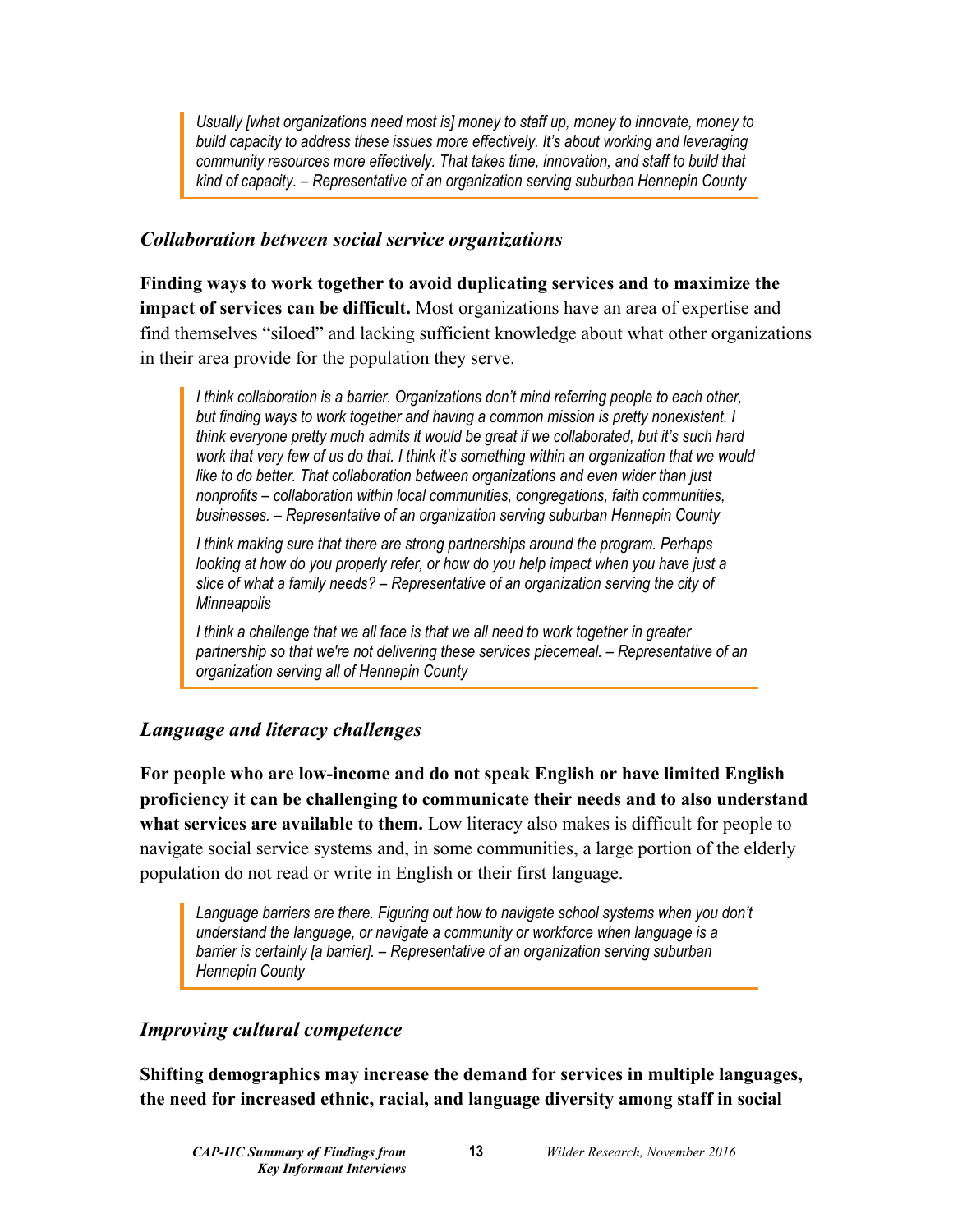*Usually [what organizations need most is] money to staff up, money to innovate, money to build capacity to address these issues more effectively. It's about working and leveraging community resources more effectively. That takes time, innovation, and staff to build that kind of capacity. – Representative of an organization serving suburban Hennepin County*

#### *Collaboration between social service organizations*

**Finding ways to work together to avoid duplicating services and to maximize the impact of services can be difficult.** Most organizations have an area of expertise and find themselves "siloed" and lacking sufficient knowledge about what other organizations in their area provide for the population they serve.

*I think collaboration is a barrier. Organizations don't mind referring people to each other, but finding ways to work together and having a common mission is pretty nonexistent. I think everyone pretty much admits it would be great if we collaborated, but it's such hard work that very few of us do that. I think it's something within an organization that we would like to do better. That collaboration between organizations and even wider than just nonprofits – collaboration within local communities, congregations, faith communities, businesses. – Representative of an organization serving suburban Hennepin County*

*I think making sure that there are strong partnerships around the program. Perhaps looking at how do you properly refer, or how do you help impact when you have just a slice of what a family needs? – Representative of an organization serving the city of Minneapolis*

*I think a challenge that we all face is that we all need to work together in greater partnership so that we're not delivering these services piecemeal. – Representative of an organization serving all of Hennepin County*

# *Language and literacy challenges*

**For people who are low-income and do not speak English or have limited English proficiency it can be challenging to communicate their needs and to also understand what services are available to them.** Low literacy also makes is difficult for people to navigate social service systems and, in some communities, a large portion of the elderly population do not read or write in English or their first language.

Language barriers are there. Figuring out how to navigate school systems when you don't *understand the language, or navigate a community or workforce when language is a barrier is certainly [a barrier]. – Representative of an organization serving suburban Hennepin County*

### *Improving cultural competence*

**Shifting demographics may increase the demand for services in multiple languages, the need for increased ethnic, racial, and language diversity among staff in social**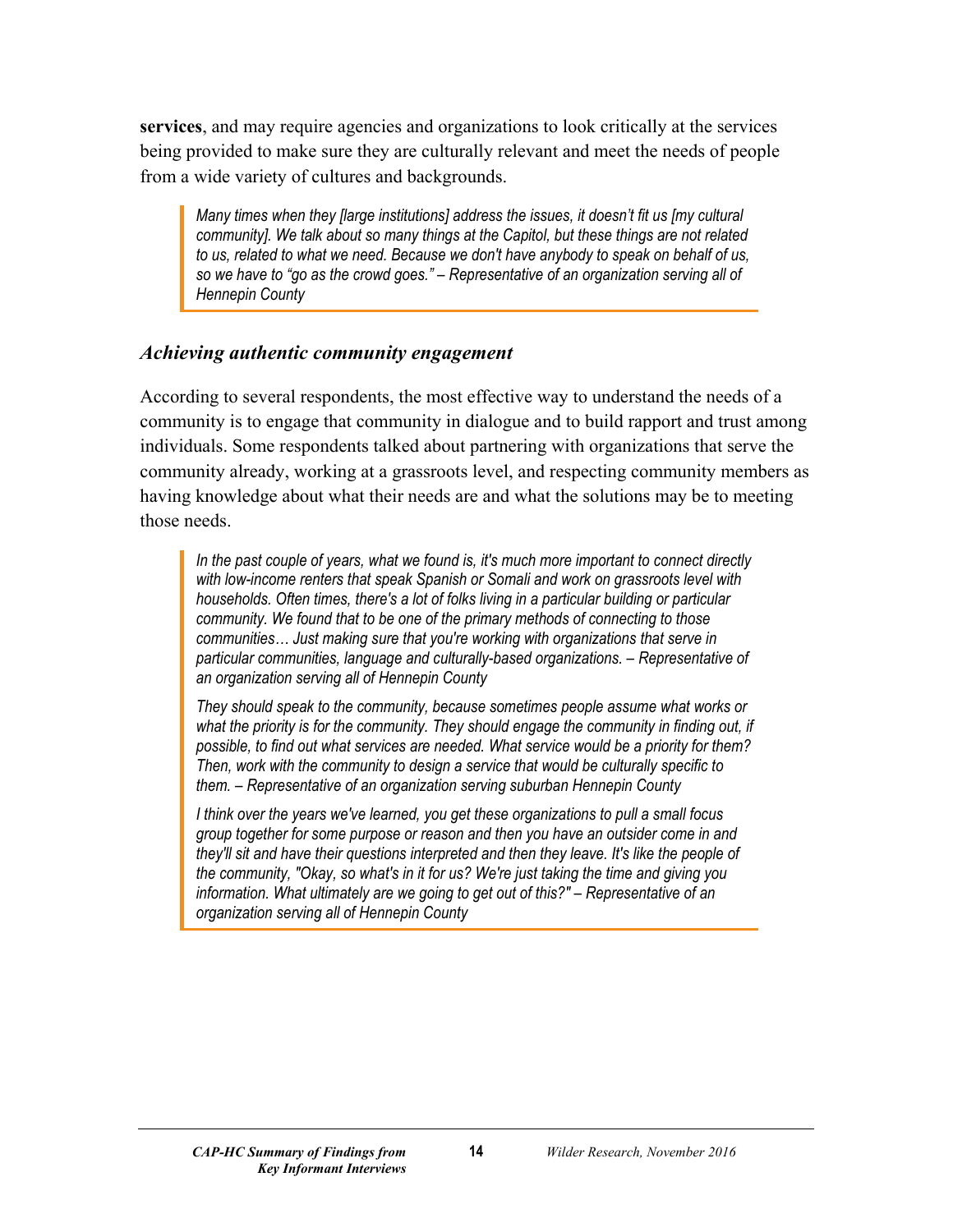**services**, and may require agencies and organizations to look critically at the services being provided to make sure they are culturally relevant and meet the needs of people from a wide variety of cultures and backgrounds.

*Many times when they [large institutions] address the issues, it doesn't fit us [my cultural community]. We talk about so many things at the Capitol, but these things are not related to us, related to what we need. Because we don't have anybody to speak on behalf of us, so we have to "go as the crowd goes." – Representative of an organization serving all of Hennepin County*

#### *Achieving authentic community engagement*

According to several respondents, the most effective way to understand the needs of a community is to engage that community in dialogue and to build rapport and trust among individuals. Some respondents talked about partnering with organizations that serve the community already, working at a grassroots level, and respecting community members as having knowledge about what their needs are and what the solutions may be to meeting those needs.

*In the past couple of years, what we found is, it's much more important to connect directly with low-income renters that speak Spanish or Somali and work on grassroots level with households. Often times, there's a lot of folks living in a particular building or particular community. We found that to be one of the primary methods of connecting to those communities… Just making sure that you're working with organizations that serve in particular communities, language and culturally-based organizations. – Representative of an organization serving all of Hennepin County*

*They should speak to the community, because sometimes people assume what works or*  what the priority is for the community. They should engage the community in finding out, if *possible, to find out what services are needed. What service would be a priority for them? Then, work with the community to design a service that would be culturally specific to them. – Representative of an organization serving suburban Hennepin County*

*I think over the years we've learned, you get these organizations to pull a small focus group together for some purpose or reason and then you have an outsider come in and they'll sit and have their questions interpreted and then they leave. It's like the people of the community, "Okay, so what's in it for us? We're just taking the time and giving you information. What ultimately are we going to get out of this?" – Representative of an organization serving all of Hennepin County*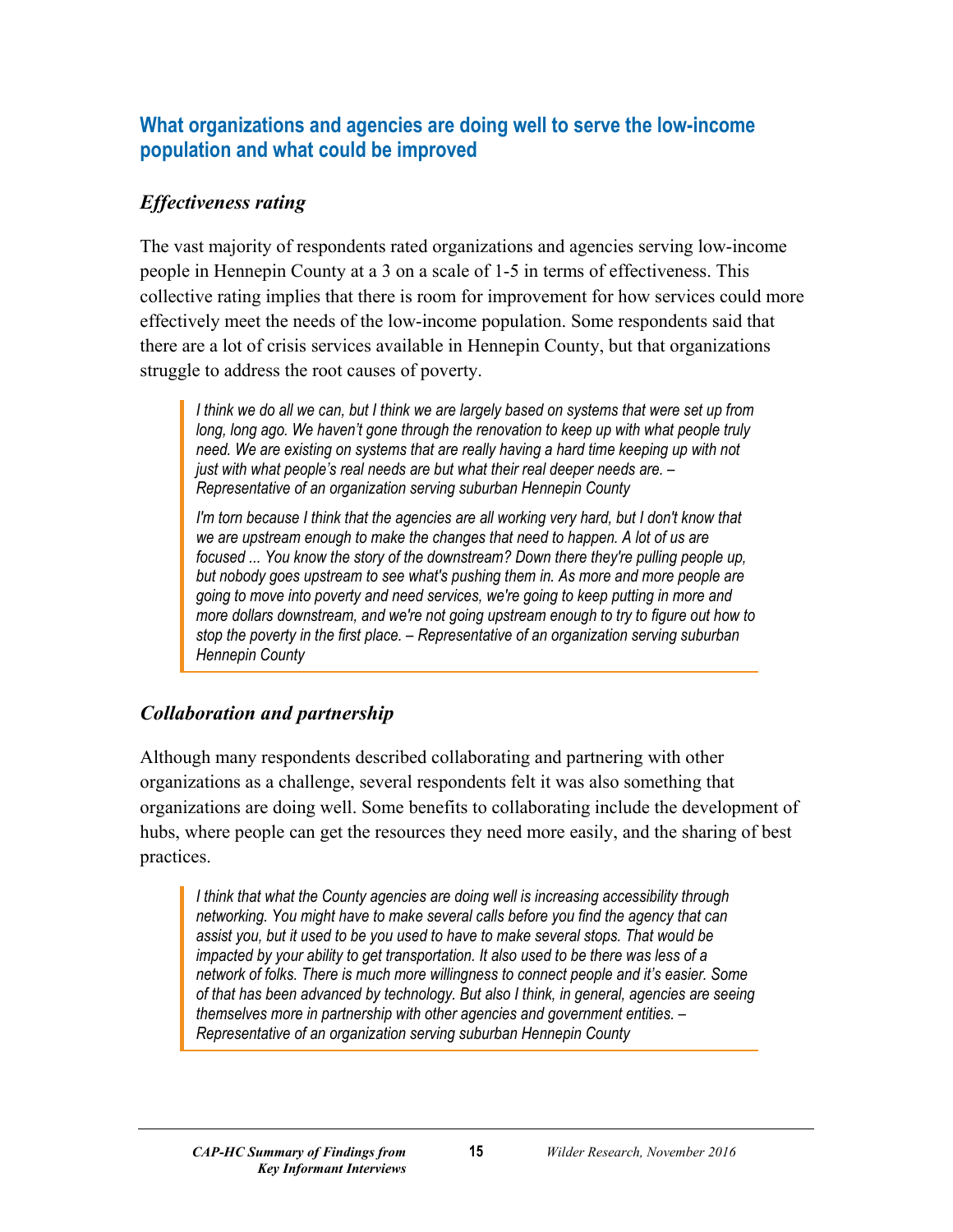# <span id="page-16-0"></span>**What organizations and agencies are doing well to serve the low-income population and what could be improved**

# *Effectiveness rating*

The vast majority of respondents rated organizations and agencies serving low-income people in Hennepin County at a 3 on a scale of 1-5 in terms of effectiveness. This collective rating implies that there is room for improvement for how services could more effectively meet the needs of the low-income population. Some respondents said that there are a lot of crisis services available in Hennepin County, but that organizations struggle to address the root causes of poverty.

*I think we do all we can, but I think we are largely based on systems that were set up from long, long ago. We haven't gone through the renovation to keep up with what people truly need. We are existing on systems that are really having a hard time keeping up with not just with what people's real needs are but what their real deeper needs are. – Representative of an organization serving suburban Hennepin County*

*I'm torn because I think that the agencies are all working very hard, but I don't know that we are upstream enough to make the changes that need to happen. A lot of us are focused ... You know the story of the downstream? Down there they're pulling people up, but nobody goes upstream to see what's pushing them in. As more and more people are going to move into poverty and need services, we're going to keep putting in more and more dollars downstream, and we're not going upstream enough to try to figure out how to stop the poverty in the first place. – Representative of an organization serving suburban Hennepin County*

# *Collaboration and partnership*

Although many respondents described collaborating and partnering with other organizations as a challenge, several respondents felt it was also something that organizations are doing well. Some benefits to collaborating include the development of hubs, where people can get the resources they need more easily, and the sharing of best practices.

*I think that what the County agencies are doing well is increasing accessibility through networking. You might have to make several calls before you find the agency that can assist you, but it used to be you used to have to make several stops. That would be impacted by your ability to get transportation. It also used to be there was less of a network of folks. There is much more willingness to connect people and it's easier. Some of that has been advanced by technology. But also I think, in general, agencies are seeing themselves more in partnership with other agencies and government entities. – Representative of an organization serving suburban Hennepin County*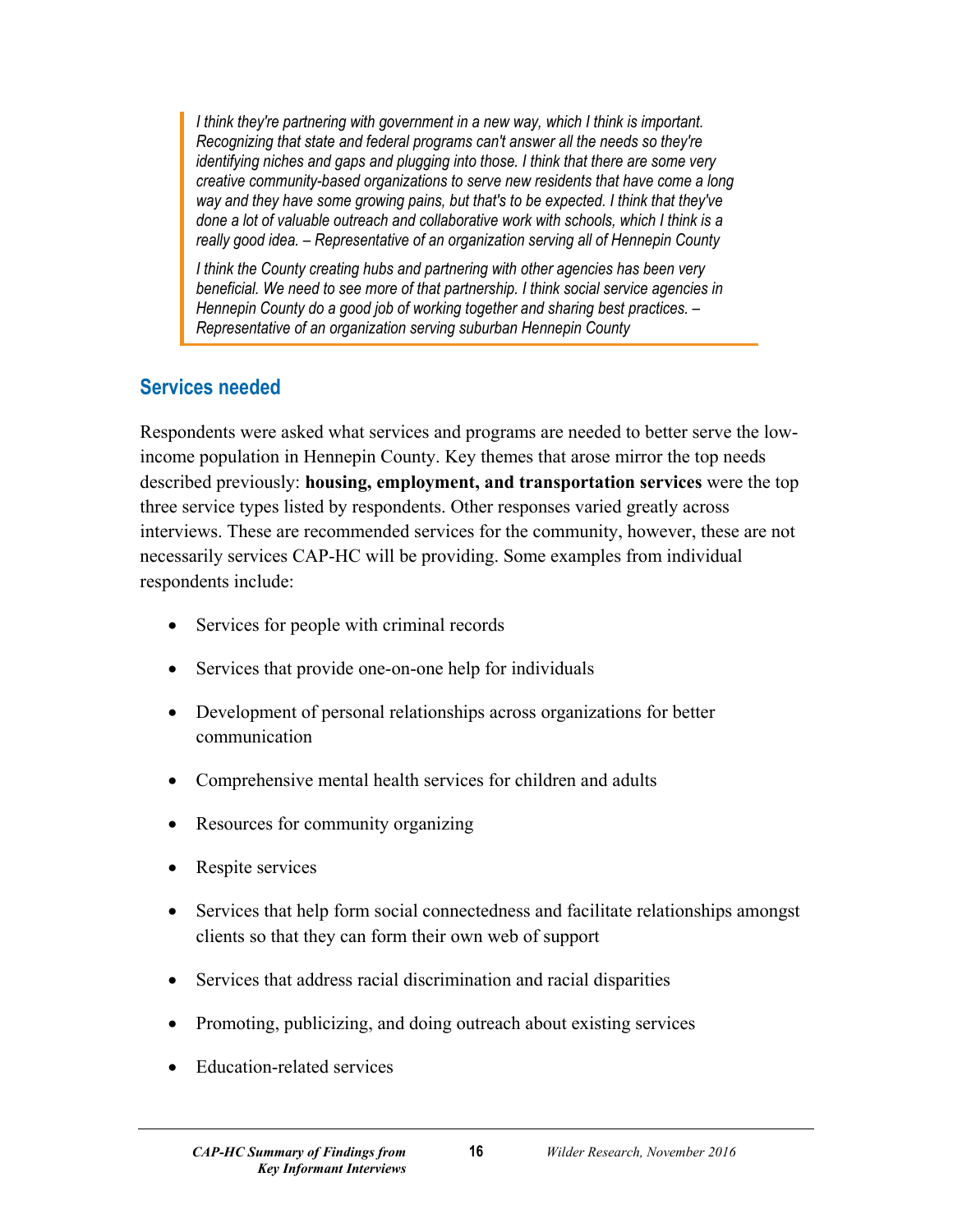I think they're partnering with government in a new way, which I think is important. *Recognizing that state and federal programs can't answer all the needs so they're identifying niches and gaps and plugging into those. I think that there are some very creative community-based organizations to serve new residents that have come a long way and they have some growing pains, but that's to be expected. I think that they've done a lot of valuable outreach and collaborative work with schools, which I think is a really good idea. – Representative of an organization serving all of Hennepin County*

*I think the County creating hubs and partnering with other agencies has been very beneficial. We need to see more of that partnership. I think social service agencies in Hennepin County do a good job of working together and sharing best practices. – Representative of an organization serving suburban Hennepin County*

# <span id="page-17-0"></span>**Services needed**

Respondents were asked what services and programs are needed to better serve the lowincome population in Hennepin County. Key themes that arose mirror the top needs described previously: **housing, employment, and transportation services** were the top three service types listed by respondents. Other responses varied greatly across interviews. These are recommended services for the community, however, these are not necessarily services CAP-HC will be providing. Some examples from individual respondents include:

- Services for people with criminal records
- Services that provide one-on-one help for individuals
- Development of personal relationships across organizations for better communication
- Comprehensive mental health services for children and adults
- Resources for community organizing
- Respite services
- Services that help form social connectedness and facilitate relationships amongst clients so that they can form their own web of support
- Services that address racial discrimination and racial disparities
- Promoting, publicizing, and doing outreach about existing services
- Education-related services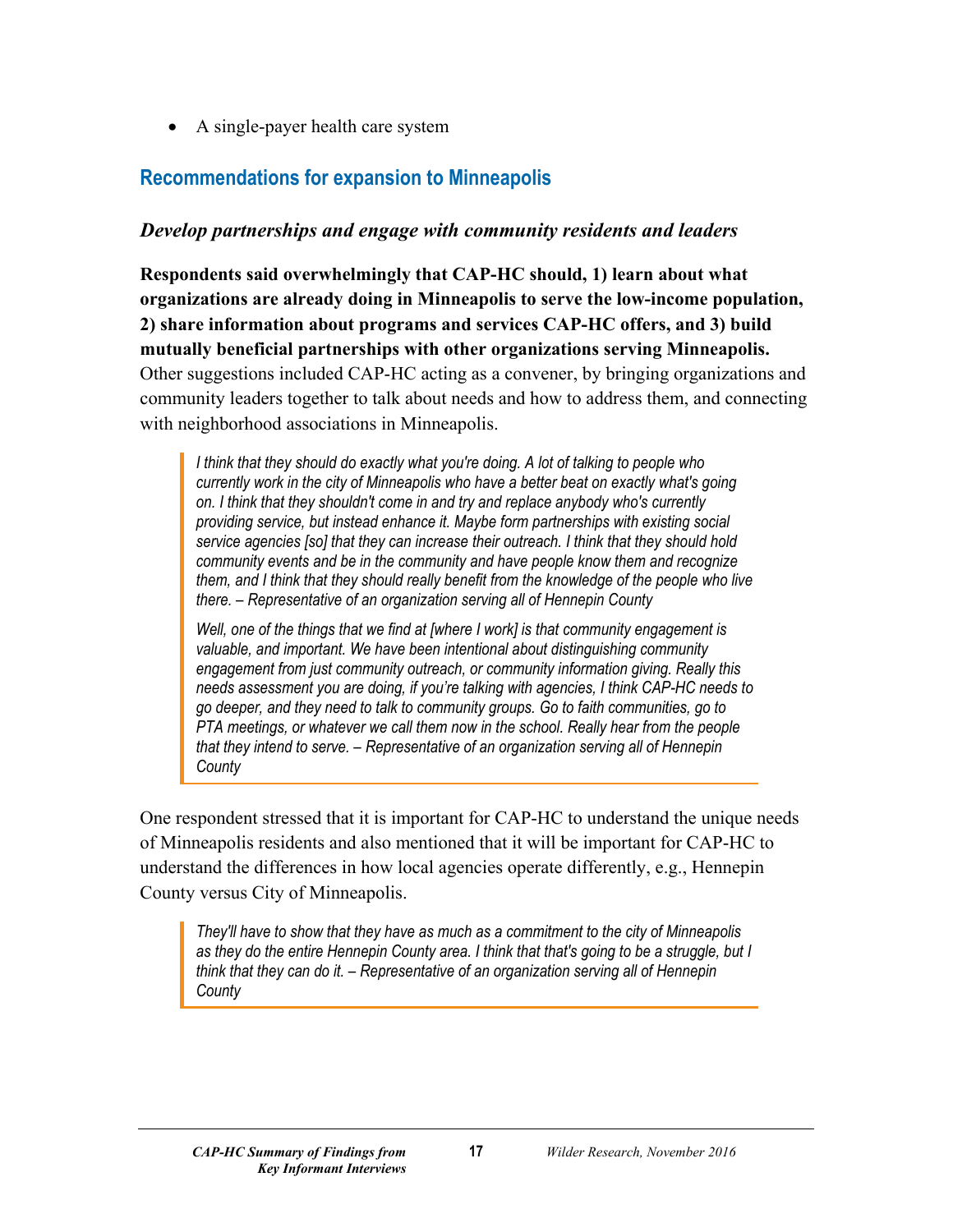• A single-payer health care system

# <span id="page-18-0"></span>**Recommendations for expansion to Minneapolis**

#### *Develop partnerships and engage with community residents and leaders*

**Respondents said overwhelmingly that CAP-HC should, 1) learn about what organizations are already doing in Minneapolis to serve the low-income population, 2) share information about programs and services CAP-HC offers, and 3) build mutually beneficial partnerships with other organizations serving Minneapolis.** Other suggestions included CAP-HC acting as a convener, by bringing organizations and community leaders together to talk about needs and how to address them, and connecting with neighborhood associations in Minneapolis.

*I think that they should do exactly what you're doing. A lot of talking to people who currently work in the city of Minneapolis who have a better beat on exactly what's going on. I think that they shouldn't come in and try and replace anybody who's currently providing service, but instead enhance it. Maybe form partnerships with existing social service agencies [so] that they can increase their outreach. I think that they should hold community events and be in the community and have people know them and recognize them, and I think that they should really benefit from the knowledge of the people who live there. – Representative of an organization serving all of Hennepin County*

*Well, one of the things that we find at [where I work] is that community engagement is valuable, and important. We have been intentional about distinguishing community engagement from just community outreach, or community information giving. Really this needs assessment you are doing, if you're talking with agencies, I think CAP-HC needs to go deeper, and they need to talk to community groups. Go to faith communities, go to PTA meetings, or whatever we call them now in the school. Really hear from the people that they intend to serve. – Representative of an organization serving all of Hennepin County*

One respondent stressed that it is important for CAP-HC to understand the unique needs of Minneapolis residents and also mentioned that it will be important for CAP-HC to understand the differences in how local agencies operate differently, e.g., Hennepin County versus City of Minneapolis.

*They'll have to show that they have as much as a commitment to the city of Minneapolis as they do the entire Hennepin County area. I think that that's going to be a struggle, but I think that they can do it. – Representative of an organization serving all of Hennepin County*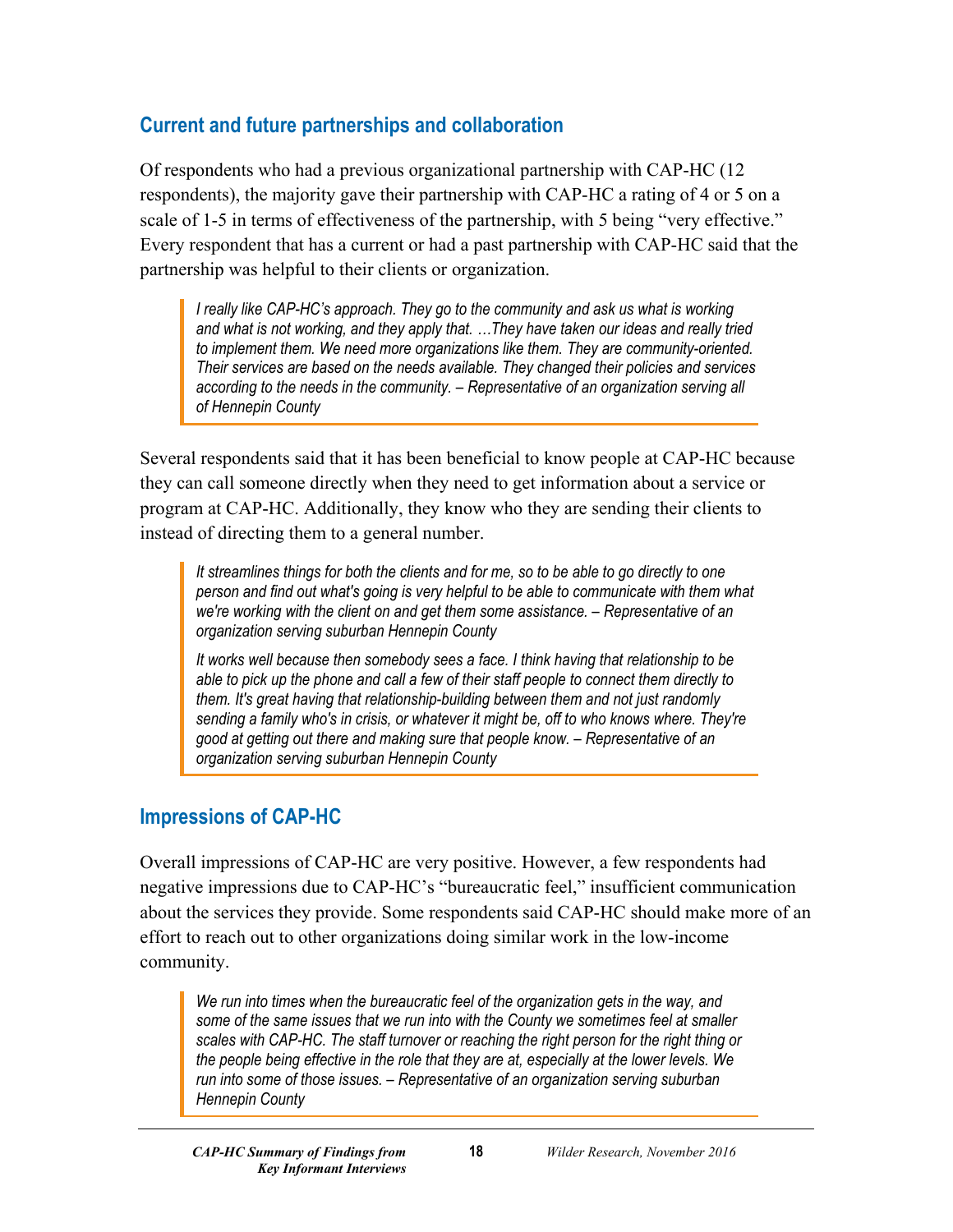# <span id="page-19-0"></span>**Current and future partnerships and collaboration**

Of respondents who had a previous organizational partnership with CAP-HC (12 respondents), the majority gave their partnership with CAP-HC a rating of 4 or 5 on a scale of 1-5 in terms of effectiveness of the partnership, with 5 being "very effective." Every respondent that has a current or had a past partnership with CAP-HC said that the partnership was helpful to their clients or organization.

*I* really like CAP-HC's approach. They go to the community and ask us what is working *and what is not working, and they apply that. …They have taken our ideas and really tried to implement them. We need more organizations like them. They are community-oriented. Their services are based on the needs available. They changed their policies and services according to the needs in the community. – Representative of an organization serving all of Hennepin County*

Several respondents said that it has been beneficial to know people at CAP-HC because they can call someone directly when they need to get information about a service or program at CAP-HC. Additionally, they know who they are sending their clients to instead of directing them to a general number.

*It streamlines things for both the clients and for me, so to be able to go directly to one person and find out what's going is very helpful to be able to communicate with them what we're working with the client on and get them some assistance. – Representative of an organization serving suburban Hennepin County*

*It works well because then somebody sees a face. I think having that relationship to be able to pick up the phone and call a few of their staff people to connect them directly to them. It's great having that relationship-building between them and not just randomly sending a family who's in crisis, or whatever it might be, off to who knows where. They're good at getting out there and making sure that people know. – Representative of an organization serving suburban Hennepin County*

### <span id="page-19-1"></span>**Impressions of CAP-HC**

Overall impressions of CAP-HC are very positive. However, a few respondents had negative impressions due to CAP-HC's "bureaucratic feel," insufficient communication about the services they provide. Some respondents said CAP-HC should make more of an effort to reach out to other organizations doing similar work in the low-income community.

*We run into times when the bureaucratic feel of the organization gets in the way, and some of the same issues that we run into with the County we sometimes feel at smaller scales with CAP-HC. The staff turnover or reaching the right person for the right thing or the people being effective in the role that they are at, especially at the lower levels. We run into some of those issues. – Representative of an organization serving suburban Hennepin County*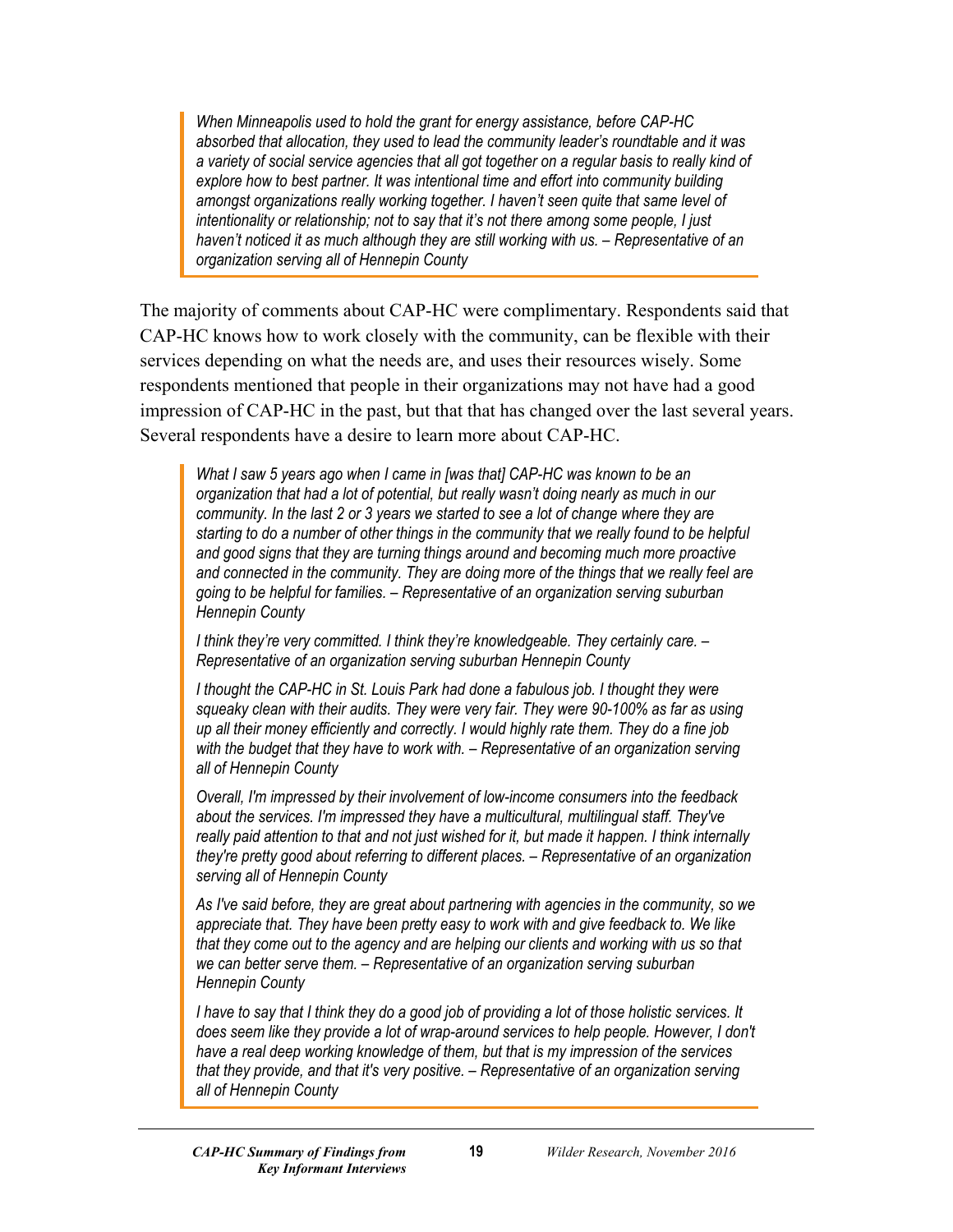*When Minneapolis used to hold the grant for energy assistance, before CAP-HC absorbed that allocation, they used to lead the community leader's roundtable and it was a variety of social service agencies that all got together on a regular basis to really kind of explore how to best partner. It was intentional time and effort into community building amongst organizations really working together. I haven't seen quite that same level of intentionality or relationship; not to say that it's not there among some people, I just haven't noticed it as much although they are still working with us. – Representative of an organization serving all of Hennepin County*

The majority of comments about CAP-HC were complimentary. Respondents said that CAP-HC knows how to work closely with the community, can be flexible with their services depending on what the needs are, and uses their resources wisely. Some respondents mentioned that people in their organizations may not have had a good impression of CAP-HC in the past, but that that has changed over the last several years. Several respondents have a desire to learn more about CAP-HC.

*What I saw 5 years ago when I came in [was that] CAP-HC was known to be an organization that had a lot of potential, but really wasn't doing nearly as much in our community. In the last 2 or 3 years we started to see a lot of change where they are starting to do a number of other things in the community that we really found to be helpful and good signs that they are turning things around and becoming much more proactive and connected in the community. They are doing more of the things that we really feel are going to be helpful for families. – Representative of an organization serving suburban Hennepin County*

*I think they're very committed. I think they're knowledgeable. They certainly care. – Representative of an organization serving suburban Hennepin County*

*I thought the CAP-HC in St. Louis Park had done a fabulous job. I thought they were squeaky clean with their audits. They were very fair. They were 90-100% as far as using up all their money efficiently and correctly. I would highly rate them. They do a fine job with the budget that they have to work with. – Representative of an organization serving all of Hennepin County*

*Overall, I'm impressed by their involvement of low-income consumers into the feedback about the services. I'm impressed they have a multicultural, multilingual staff. They've really paid attention to that and not just wished for it, but made it happen. I think internally they're pretty good about referring to different places. – Representative of an organization serving all of Hennepin County*

*As I've said before, they are great about partnering with agencies in the community, so we appreciate that. They have been pretty easy to work with and give feedback to. We like that they come out to the agency and are helping our clients and working with us so that we can better serve them. – Representative of an organization serving suburban Hennepin County*

*I have to say that I think they do a good job of providing a lot of those holistic services. It does seem like they provide a lot of wrap-around services to help people. However, I don't have a real deep working knowledge of them, but that is my impression of the services that they provide, and that it's very positive. – Representative of an organization serving all of Hennepin County*